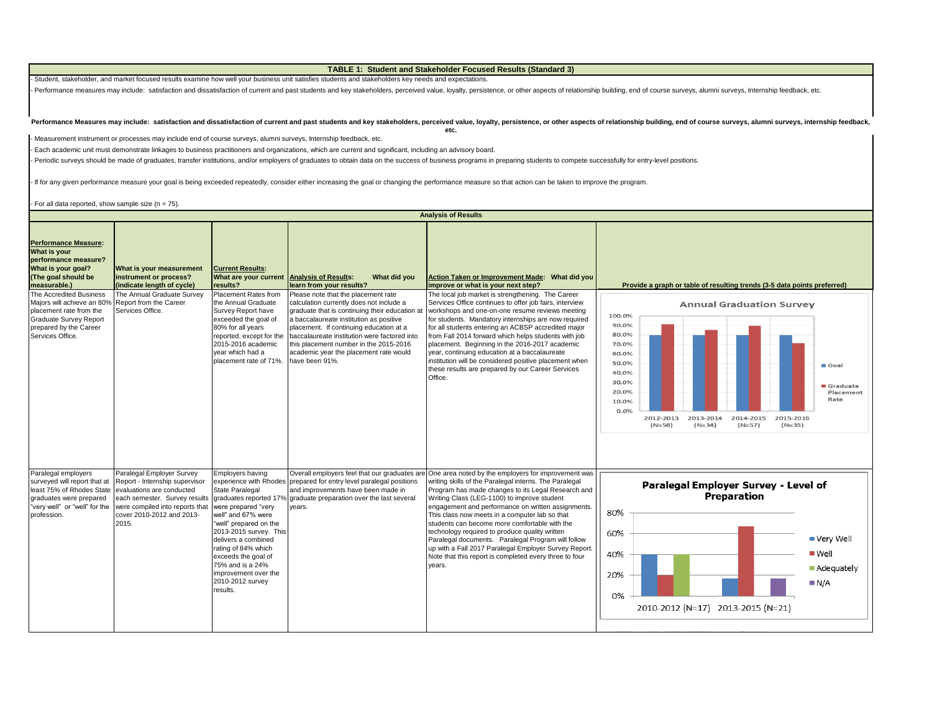**TABLE 1: Student and Stakeholder Focused Results (Standard 3)**

- Student, stakeholder, and market focused results examine how well your business unit satisfies students and stakeholders key needs and expectations.

Performance measures may include: satisfaction and dissatisfaction of current and past students and key stakeholders, perceived value, loyalty, persistence, or other aspects of relationship building, end of course surveys,

#### Performance Measures may include: satisfaction and dissatisfaction of current and past students and key stakeholders, perceived value, loyalty, persistence, or other aspects of relationship building, end of course surveys, **etc.**

- Measurement instrument or processes may include end of course surveys, alumni surveys, Internship feedback, etc.

- Each academic unit must demonstrate linkages to business practitioners and organizations, which are current and significant, including an advisory board.

- Periodic surveys should be made of graduates, transfer institutions, and/or employers of graduates to obtain data on the success of business programs in preparing students to compete successfully for entry-level position

- If for any given performance measure your goal is being exceeded repeatedly, consider either increasing the goal or changing the performance measure so that action can be taken to improve the program.

- For all data reported, show sample size  $(n = 75)$ .

|                                                                                                                                                                 |                                                                                                                                                                                                    |                                                                                                                                                                                                                                                                                       |                                                                                                                                                                                                                                                                                                                                                                               | <b>Analysis of Results</b>                                                                                                                                                                                                                                                                                                                                                                                                                                                                                                                                                                                      |                                                                                                                                                                                                                                                                                 |
|-----------------------------------------------------------------------------------------------------------------------------------------------------------------|----------------------------------------------------------------------------------------------------------------------------------------------------------------------------------------------------|---------------------------------------------------------------------------------------------------------------------------------------------------------------------------------------------------------------------------------------------------------------------------------------|-------------------------------------------------------------------------------------------------------------------------------------------------------------------------------------------------------------------------------------------------------------------------------------------------------------------------------------------------------------------------------|-----------------------------------------------------------------------------------------------------------------------------------------------------------------------------------------------------------------------------------------------------------------------------------------------------------------------------------------------------------------------------------------------------------------------------------------------------------------------------------------------------------------------------------------------------------------------------------------------------------------|---------------------------------------------------------------------------------------------------------------------------------------------------------------------------------------------------------------------------------------------------------------------------------|
| <b>Performance Measure:</b><br>What is your<br>performance measure?<br>What is your goal?<br>(The goal should be<br>measurable.)                                | What is your measurement<br>instrument or process?<br>(indicate length of cycle)                                                                                                                   | <b>Current Results:</b><br>What are your current Analysis of Results:<br>results?                                                                                                                                                                                                     | What did you<br>learn from your results?                                                                                                                                                                                                                                                                                                                                      | Action Taken or Improvement Made: What did you<br>improve or what is your next step?                                                                                                                                                                                                                                                                                                                                                                                                                                                                                                                            | Provide a graph or table of resulting trends (3-5 data points preferred)                                                                                                                                                                                                        |
| The Accredited Business<br>Majors will achieve an 80%<br>placement rate from the<br><b>Graduate Survey Report</b><br>prepared by the Career<br>Services Office. | The Annual Graduate Survey<br>Report from the Career<br>Services Office.                                                                                                                           | Placement Rates from<br>the Annual Graduate<br>Survey Report have<br>exceeded the goal of<br>80% for all years<br>reported, except for the<br>2015-2016 academic<br>vear which had a<br>placement rate of 71%.                                                                        | Please note that the placement rate<br>calculation currently does not include a<br>graduate that is continuing their education at<br>a baccalaureate institution as positive<br>placement. If continuing education at a<br>baccalaureate institution were factored into<br>this placement number in the 2015-2016<br>academic year the placement rate would<br>have been 91%. | The local iob market is strengthening. The Career<br>Services Office continues to offer job fairs, interview<br>workshops and one-on-one resume reviews meeting<br>for students. Mandatory internships are now required<br>for all students entering an ACBSP accredited major<br>from Fall 2014 forward which helps students with job<br>placement. Beginning in the 2016-2017 academic<br>year, continuing education at a baccalaureate<br>institution will be considered positive placement when<br>these results are prepared by our Career Services<br>Office.                                             | <b>Annual Graduation Survey</b><br>100.0%<br>90.0%<br>80.0%<br>70.0%<br>60.0%<br>50.0%<br>Goal<br>40.0%<br>30.0%<br>Graduate<br>20.0%<br>Placement<br>Rate<br>10.0%<br>0.0%<br>2012-2013<br>2014-2015<br>2013-2014<br>2015-2016<br>$(N=58)$<br>$(N=34)$<br>$(N=57)$<br>$(N=35)$ |
| Paralegal employers<br>surveyed will report that at<br>least 75% of Rhodes State<br>graduates were prepared<br>"very well" or "well" for the<br>profession.     | Paralegal Employer Survey<br>Report - Internship supervisor<br>evaluations are conducted<br>each semester. Survey results<br>were compiled into reports that<br>cover 2010-2012 and 2013-<br>2015. | Employers having<br>State Paralegal<br>were prepared "very<br>well" and 67% were<br>"well" prepared on the<br>2013-2015 survey. This<br>delivers a combined<br>rating of 84% which<br>exceeds the goal of<br>75% and is a 24%<br>improvement over the<br>2010-2012 survey<br>results. | Overall employers feel that our graduates are<br>experience with Rhodes prepared for entry level paralegal positions<br>and improvements have been made in<br>graduates reported 17% graduate preparation over the last several<br>years.                                                                                                                                     | One area noted by the employers for improvement was<br>writing skills of the Paralegal interns. The Paralegal<br>Program has made changes to its Legal Research and<br>Writing Class (LEG-1100) to improve student<br>engagement and performance on written assignments<br>This class now meets in a computer lab so that<br>students can become more comfortable with the<br>technology required to produce quality written<br>Paralegal documents. Paralegal Program will follow<br>up with a Fall 2017 Paralegal Employer Survey Report.<br>Note that this report is completed every three to four<br>vears. | Paralegal Employer Survey - Level of<br><b>Preparation</b><br>80%<br>60%<br>■ Very Well<br>Well<br>40%<br>Adequately<br>20%<br>N/A<br>0%<br>2010-2012 (N=17) 2013-2015 (N=21)                                                                                                   |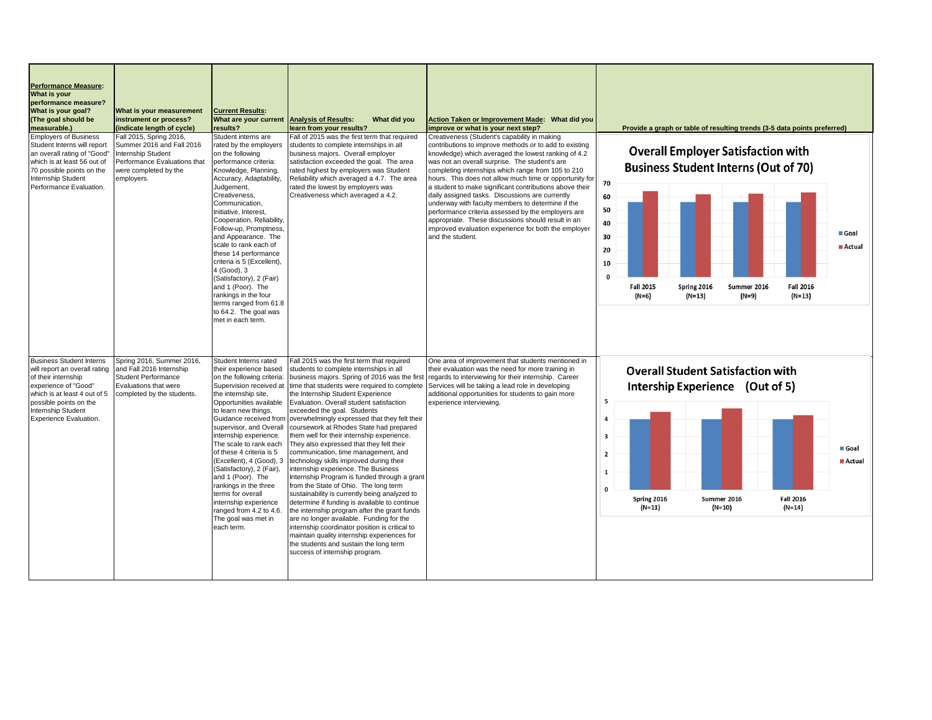| <b>Performance Measure:</b><br>What is your<br>performance measure?<br>What is your goal?<br>(The goal should be<br>measurable.)                                                                                          | What is your measurement<br>instrument or process?<br>(indicate length of cycle)                                                                  | <b>Current Results:</b><br>What are your current<br>results?                                                                                                                                                                                                                                                                                                                                                                                                                                                                                         | <b>Analysis of Results:</b><br>What did you<br>learn from your results?                                                                                                                                                                                                                                                                                                                                                                                                                                                                                                                                                                                                                                                                                                                                                                                                                                                                                                                                                                                                                   | Action Taken or Improvement Made: What did you<br>improve or what is your next step?                                                                                                                                                                                                                                                                                                                                                                                                                                                                                                                                                                                                        | Provide a graph or table of resulting trends (3-5 data points preferred)                                                                                                                                                                                                                       |
|---------------------------------------------------------------------------------------------------------------------------------------------------------------------------------------------------------------------------|---------------------------------------------------------------------------------------------------------------------------------------------------|------------------------------------------------------------------------------------------------------------------------------------------------------------------------------------------------------------------------------------------------------------------------------------------------------------------------------------------------------------------------------------------------------------------------------------------------------------------------------------------------------------------------------------------------------|-------------------------------------------------------------------------------------------------------------------------------------------------------------------------------------------------------------------------------------------------------------------------------------------------------------------------------------------------------------------------------------------------------------------------------------------------------------------------------------------------------------------------------------------------------------------------------------------------------------------------------------------------------------------------------------------------------------------------------------------------------------------------------------------------------------------------------------------------------------------------------------------------------------------------------------------------------------------------------------------------------------------------------------------------------------------------------------------|---------------------------------------------------------------------------------------------------------------------------------------------------------------------------------------------------------------------------------------------------------------------------------------------------------------------------------------------------------------------------------------------------------------------------------------------------------------------------------------------------------------------------------------------------------------------------------------------------------------------------------------------------------------------------------------------|------------------------------------------------------------------------------------------------------------------------------------------------------------------------------------------------------------------------------------------------------------------------------------------------|
| <b>Employers of Business</b><br>Student Interns will report<br>an overall rating of "Good"<br>which is at least 56 out of<br>70 possible points on the<br><b>Internship Student</b><br>Performance Evaluation.            | Fall 2015, Spring 2016,<br>Summer 2016 and Fall 2016<br>Internship Student<br>Performance Evaluations that<br>were completed by the<br>employers. | Student interns are<br>rated by the employers<br>on the following<br>performance criteria:<br>Knowledge, Planning,<br>Accuracy, Adaptability,<br>Judgement,<br>Creativeness,<br>Communication.<br>Initiative, Interest,<br>Cooperation, Reliability,<br>Follow-up, Promptness.<br>and Appearance. The<br>scale to rank each of<br>these 14 performance<br>criteria is 5 (Excellent),<br>4 (Good), 3<br>(Satisfactory), 2 (Fair)<br>and 1 (Poor). The<br>rankings in the four<br>terms ranged from 61.8<br>to 64.2. The goal was<br>met in each term. | Fall of 2015 was the first term that required<br>students to complete internships in all<br>business majors. Overall employer<br>satisfaction exceeded the goal. The area<br>rated highest by employers was Student<br>Reliability which averaged a 4.7. The area<br>rated the lowest by employers was<br>Creativeness which averaged a 4.2.                                                                                                                                                                                                                                                                                                                                                                                                                                                                                                                                                                                                                                                                                                                                              | Creativeness (Student's capability in making<br>contributions to improve methods or to add to existing<br>knowledge) which averaged the lowest ranking of 4.2<br>was not an overall surprise. The student's are<br>completing internships which range from 105 to 210<br>hours. This does not allow much time or opportunity for<br>a student to make significant contributions above their<br>daily assigned tasks. Discussions are currently<br>underway with faculty members to determine if the<br>performance criteria assessed by the employers are<br>appropriate. These discussions should result in an<br>improved evaluation experience for both the employer<br>and the student. | <b>Overall Employer Satisfaction with</b><br><b>Business Student Interns (Out of 70)</b><br>70<br>60<br>50<br>40<br>Goal<br>30<br><b>■ Actual</b><br>20<br>10<br>$\Omega$<br><b>Fall 2015</b><br>Spring 2016<br>Summer 2016<br><b>Fall 2016</b><br>$(N=9)$<br>(N=6)<br>(N=13)<br>$(N=13)$      |
| <b>Business Student Interns</b><br>will report an overall rating<br>of their internship<br>experience of "Good"<br>which is at least 4 out of 5<br>possible points on the<br>Internship Student<br>Experience Evaluation. | Spring 2016, Summer 2016,<br>and Fall 2016 Internship<br><b>Student Performance</b><br>Evaluations that were<br>completed by the students.        | Student Interns rated<br>their experience based<br>on the following criteria:<br>Supervision received at<br>the internship site,<br>Opportunities available<br>to learn new things,<br>Guidance received from<br>supervisor, and Overall<br>internship experience.<br>The scale to rank each<br>of these 4 criteria is 5<br>(Excellent), 4 (Good), 3<br>(Satisfactory), 2 (Fair),<br>and 1 (Poor). The<br>rankings in the three<br>terms for overall<br>internship experience<br>ranged from 4.2 to 4.6.<br>The goal was met in<br>each term.        | Fall 2015 was the first term that required<br>students to complete internships in all<br>business majors. Spring of 2016 was the first<br>time that students were required to complete<br>the Internship Student Experience<br>Evaluation. Overall student satisfaction<br>exceeded the goal. Students<br>overwhelmingly expressed that they felt their<br>coursework at Rhodes State had prepared<br>them well for their internship experience.<br>They also expressed that they felt their<br>communication, time management, and<br>technology skills improved during their<br>internship experience. The Business<br>Internship Program is funded through a grant<br>from the State of Ohio. The long term<br>sustainability is currently being analyzed to<br>determine if funding is available to continue<br>the internship program after the grant funds<br>are no longer available. Funding for the<br>internship coordinator position is critical to<br>maintain quality internship experiences for<br>the students and sustain the long term<br>success of internship program. | One area of improvement that students mentioned in<br>their evaluation was the need for more training in<br>regards to interviewing for their internship. Career<br>Services will be taking a lead role in developing<br>additional opportunities for students to gain more<br>experience interviewing.                                                                                                                                                                                                                                                                                                                                                                                     | <b>Overall Student Satisfaction with</b><br>Intership Experience (Out of 5)<br>5<br>$\overline{a}$<br>$\overline{\mathbf{3}}$<br>Goal<br>$\overline{\mathbf{2}}$<br>Actual<br>$\mathbf{1}$<br>$\mathbf{0}$<br>Spring 2016<br>Summer 2016<br><b>Fall 2016</b><br>$(N=11)$<br>(N=10)<br>$(N=14)$ |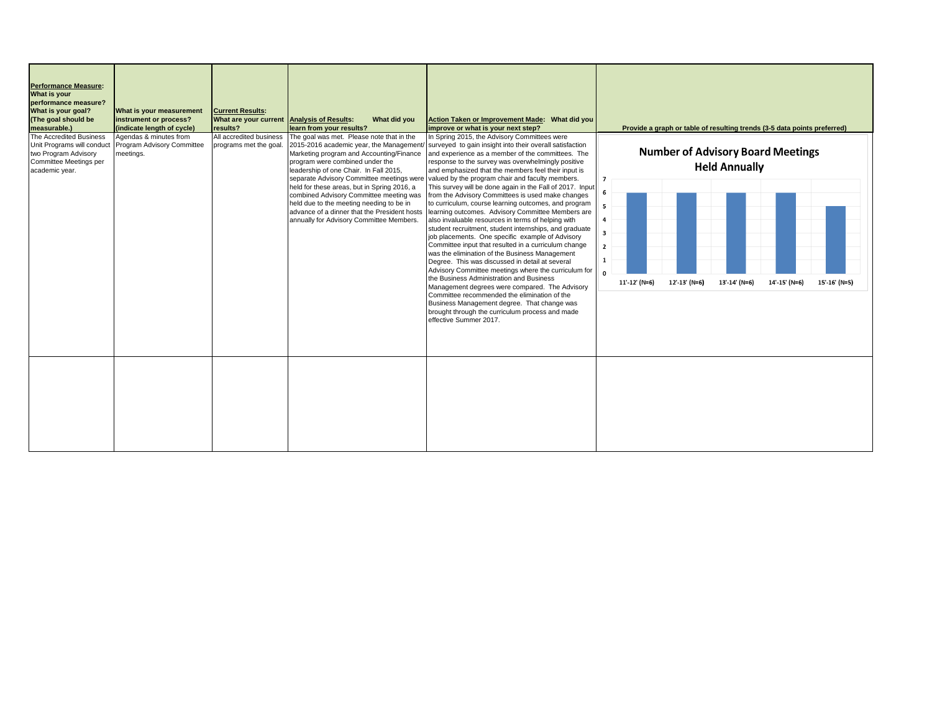| <b>Performance Measure:</b><br>What is your<br>performance measure?<br>What is your goal?<br>(The goal should be<br>measurable.) | What is your measurement<br>instrument or process?<br>(indicate length of cycle) | <b>Current Results:</b><br>What are your current Analysis of Results:<br>results? | What did you<br>learn from your results?                                                                                                                                                                                                                                                                                                                                                                                                                                                      | Action Taken or Improvement Made: What did you<br>improve or what is your next step?                                                                                                                                                                                                                                                                                                                                                                                                                                                                                                                                                                                                                                                                                                                                                                                                                                                                                                                                                                                                                                                                                                                                             | Provide a graph or table of resulting trends (3-5 data points preferred)                                                                                                                                   |
|----------------------------------------------------------------------------------------------------------------------------------|----------------------------------------------------------------------------------|-----------------------------------------------------------------------------------|-----------------------------------------------------------------------------------------------------------------------------------------------------------------------------------------------------------------------------------------------------------------------------------------------------------------------------------------------------------------------------------------------------------------------------------------------------------------------------------------------|----------------------------------------------------------------------------------------------------------------------------------------------------------------------------------------------------------------------------------------------------------------------------------------------------------------------------------------------------------------------------------------------------------------------------------------------------------------------------------------------------------------------------------------------------------------------------------------------------------------------------------------------------------------------------------------------------------------------------------------------------------------------------------------------------------------------------------------------------------------------------------------------------------------------------------------------------------------------------------------------------------------------------------------------------------------------------------------------------------------------------------------------------------------------------------------------------------------------------------|------------------------------------------------------------------------------------------------------------------------------------------------------------------------------------------------------------|
| The Accredited Business<br>Unit Programs will conduct<br>two Program Advisory<br>Committee Meetings per<br>academic year.        | Agendas & minutes from<br>Program Advisory Committee<br>meetinas.                | All accredited business<br>programs met the goal.                                 | The goal was met. Please note that in the<br>2015-2016 academic year, the Management/<br>Marketing program and Accounting/Finance<br>program were combined under the<br>leadership of one Chair. In Fall 2015,<br>separate Advisory Committee meetings were<br>held for these areas, but in Spring 2016, a<br>combined Advisory Committee meeting was<br>held due to the meeting needing to be in<br>advance of a dinner that the President hosts<br>annually for Advisory Committee Members. | In Spring 2015, the Advisory Committees were<br>surveyed to gain insight into their overall satisfaction<br>and experience as a member of the committees. The<br>response to the survey was overwhelmingly positive<br>and emphasized that the members feel their input is<br>valued by the program chair and faculty members.<br>This survey will be done again in the Fall of 2017. Input<br>from the Advisory Committees is used make changes<br>to curriculum, course learning outcomes, and program<br>learning outcomes. Advisory Committee Members are<br>also invaluable resources in terms of helping with<br>student recruitment, student internships, and graduate<br>job placements. One specific example of Advisory<br>Committee input that resulted in a curriculum change<br>was the elimination of the Business Management<br>Degree. This was discussed in detail at several<br>Advisory Committee meetings where the curriculum for<br>the Business Administration and Business<br>Management degrees were compared. The Advisory<br>Committee recommended the elimination of the<br>Business Management degree. That change was<br>brought through the curriculum process and made<br>effective Summer 2017. | <b>Number of Advisory Board Meetings</b><br><b>Held Annually</b><br>6<br>5<br>4<br>3<br>$\mathbf{2}$<br>1<br><b>n</b><br>11'-12' (N=6)<br>12'-13' (N=6)<br>13'-14' (N=6)<br>14'-15' (N=6)<br>15'-16' (N=5) |
|                                                                                                                                  |                                                                                  |                                                                                   |                                                                                                                                                                                                                                                                                                                                                                                                                                                                                               |                                                                                                                                                                                                                                                                                                                                                                                                                                                                                                                                                                                                                                                                                                                                                                                                                                                                                                                                                                                                                                                                                                                                                                                                                                  |                                                                                                                                                                                                            |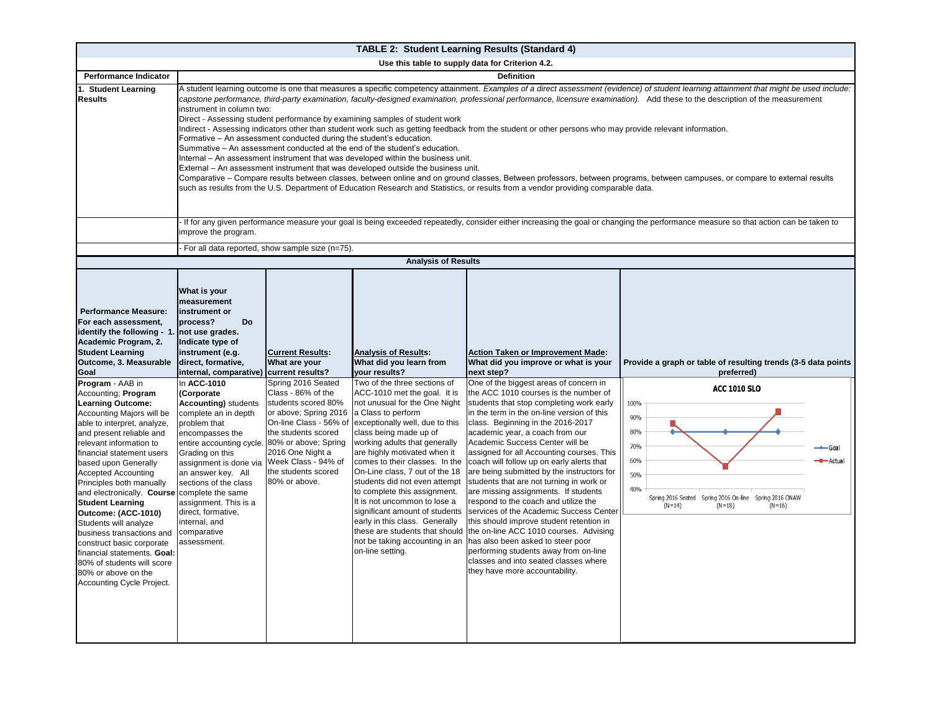|                                                                                                                                                                                                                                                                                                                                                                                                                                                                                                                                                                                                             |                                                                                                                                                                                                                                                                                                                                                                                                                                                                                                                                                                                                                                                                                                                                                                                                                                                                                                                                                                                                                                                                                                                                                                                                                                                                                                      |                                                                                                                                                                                                       | <b>TABLE 2: Student Learning Results (Standard 4)</b>                                                                                                                                                                                                                                                                                                                                                                                                                                                                                                                              |                                                                                                                                                                                                                                                                                                                                                                                                                                                                                                                                                                                                                                                                                                                                                                                                                                                    |                                                                                                                                                                                           |  |  |  |  |  |
|-------------------------------------------------------------------------------------------------------------------------------------------------------------------------------------------------------------------------------------------------------------------------------------------------------------------------------------------------------------------------------------------------------------------------------------------------------------------------------------------------------------------------------------------------------------------------------------------------------------|------------------------------------------------------------------------------------------------------------------------------------------------------------------------------------------------------------------------------------------------------------------------------------------------------------------------------------------------------------------------------------------------------------------------------------------------------------------------------------------------------------------------------------------------------------------------------------------------------------------------------------------------------------------------------------------------------------------------------------------------------------------------------------------------------------------------------------------------------------------------------------------------------------------------------------------------------------------------------------------------------------------------------------------------------------------------------------------------------------------------------------------------------------------------------------------------------------------------------------------------------------------------------------------------------|-------------------------------------------------------------------------------------------------------------------------------------------------------------------------------------------------------|------------------------------------------------------------------------------------------------------------------------------------------------------------------------------------------------------------------------------------------------------------------------------------------------------------------------------------------------------------------------------------------------------------------------------------------------------------------------------------------------------------------------------------------------------------------------------------|----------------------------------------------------------------------------------------------------------------------------------------------------------------------------------------------------------------------------------------------------------------------------------------------------------------------------------------------------------------------------------------------------------------------------------------------------------------------------------------------------------------------------------------------------------------------------------------------------------------------------------------------------------------------------------------------------------------------------------------------------------------------------------------------------------------------------------------------------|-------------------------------------------------------------------------------------------------------------------------------------------------------------------------------------------|--|--|--|--|--|
|                                                                                                                                                                                                                                                                                                                                                                                                                                                                                                                                                                                                             |                                                                                                                                                                                                                                                                                                                                                                                                                                                                                                                                                                                                                                                                                                                                                                                                                                                                                                                                                                                                                                                                                                                                                                                                                                                                                                      |                                                                                                                                                                                                       | Use this table to supply data for Criterion 4.2.                                                                                                                                                                                                                                                                                                                                                                                                                                                                                                                                   |                                                                                                                                                                                                                                                                                                                                                                                                                                                                                                                                                                                                                                                                                                                                                                                                                                                    |                                                                                                                                                                                           |  |  |  |  |  |
| <b>Performance Indicator</b>                                                                                                                                                                                                                                                                                                                                                                                                                                                                                                                                                                                | <b>Definition</b>                                                                                                                                                                                                                                                                                                                                                                                                                                                                                                                                                                                                                                                                                                                                                                                                                                                                                                                                                                                                                                                                                                                                                                                                                                                                                    |                                                                                                                                                                                                       |                                                                                                                                                                                                                                                                                                                                                                                                                                                                                                                                                                                    |                                                                                                                                                                                                                                                                                                                                                                                                                                                                                                                                                                                                                                                                                                                                                                                                                                                    |                                                                                                                                                                                           |  |  |  |  |  |
| 1. Student Learning<br><b>Results</b>                                                                                                                                                                                                                                                                                                                                                                                                                                                                                                                                                                       | A student learning outcome is one that measures a specific competency attainment. Examples of a direct assessment (evidence) of student learning attainment that might be used include:<br>capstone performance, third-party examination, faculty-designed examination, professional performance, licensure examination). Add these to the description of the measurement<br>instrument in column two:<br>Direct - Assessing student performance by examining samples of student work<br>Indirect - Assessing indicators other than student work such as getting feedback from the student or other persons who may provide relevant information.<br>Formative - An assessment conducted during the student's education.<br>Summative - An assessment conducted at the end of the student's education.<br>Internal – An assessment instrument that was developed within the business unit.<br>External – An assessment instrument that was developed outside the business unit.<br>Comparative – Compare results between classes, between online and on ground classes, Between professors, between programs, between campuses, or compare to external results<br>such as results from the U.S. Department of Education Research and Statistics, or results from a vendor providing comparable data. |                                                                                                                                                                                                       |                                                                                                                                                                                                                                                                                                                                                                                                                                                                                                                                                                                    |                                                                                                                                                                                                                                                                                                                                                                                                                                                                                                                                                                                                                                                                                                                                                                                                                                                    |                                                                                                                                                                                           |  |  |  |  |  |
|                                                                                                                                                                                                                                                                                                                                                                                                                                                                                                                                                                                                             | If for any given performance measure your goal is being exceeded repeatedly, consider either increasing the goal or changing the performance measure so that action can be taken to<br>improve the program.                                                                                                                                                                                                                                                                                                                                                                                                                                                                                                                                                                                                                                                                                                                                                                                                                                                                                                                                                                                                                                                                                          |                                                                                                                                                                                                       |                                                                                                                                                                                                                                                                                                                                                                                                                                                                                                                                                                                    |                                                                                                                                                                                                                                                                                                                                                                                                                                                                                                                                                                                                                                                                                                                                                                                                                                                    |                                                                                                                                                                                           |  |  |  |  |  |
|                                                                                                                                                                                                                                                                                                                                                                                                                                                                                                                                                                                                             |                                                                                                                                                                                                                                                                                                                                                                                                                                                                                                                                                                                                                                                                                                                                                                                                                                                                                                                                                                                                                                                                                                                                                                                                                                                                                                      | For all data reported, show sample size (n=75).                                                                                                                                                       |                                                                                                                                                                                                                                                                                                                                                                                                                                                                                                                                                                                    |                                                                                                                                                                                                                                                                                                                                                                                                                                                                                                                                                                                                                                                                                                                                                                                                                                                    |                                                                                                                                                                                           |  |  |  |  |  |
|                                                                                                                                                                                                                                                                                                                                                                                                                                                                                                                                                                                                             |                                                                                                                                                                                                                                                                                                                                                                                                                                                                                                                                                                                                                                                                                                                                                                                                                                                                                                                                                                                                                                                                                                                                                                                                                                                                                                      |                                                                                                                                                                                                       | <b>Analysis of Results</b>                                                                                                                                                                                                                                                                                                                                                                                                                                                                                                                                                         |                                                                                                                                                                                                                                                                                                                                                                                                                                                                                                                                                                                                                                                                                                                                                                                                                                                    |                                                                                                                                                                                           |  |  |  |  |  |
| <b>Performance Measure:</b><br>For each assessment,<br>identify the following - 1.<br>Academic Program, 2.<br><b>Student Learning</b><br>Outcome, 3. Measurable<br>Goal                                                                                                                                                                                                                                                                                                                                                                                                                                     | What is your<br>measurement<br>instrument or<br>process?<br>Do<br>not use grades.<br>Indicate type of<br>instrument (e.g.<br>direct, formative,<br>internal, comparative) current results?                                                                                                                                                                                                                                                                                                                                                                                                                                                                                                                                                                                                                                                                                                                                                                                                                                                                                                                                                                                                                                                                                                           | <b>Current Results:</b><br>What are your                                                                                                                                                              | <b>Analysis of Results:</b><br>What did you learn from<br>your results?                                                                                                                                                                                                                                                                                                                                                                                                                                                                                                            | <b>Action Taken or Improvement Made:</b><br>What did you improve or what is your<br>next step?                                                                                                                                                                                                                                                                                                                                                                                                                                                                                                                                                                                                                                                                                                                                                     | Provide a graph or table of resulting trends (3-5 data points<br>preferred)                                                                                                               |  |  |  |  |  |
| Program - AAB in<br>Accounting; Program<br><b>Learning Outcome:</b><br>Accounting Majors will be<br>able to interpret, analyze,<br>and present reliable and<br>relevant information to<br>financial statement users<br>based upon Generally<br><b>Accepted Accounting</b><br>Principles both manually<br>and electronically. Course complete the same<br><b>Student Learning</b><br>Outcome: (ACC-1010)<br>Students will analyze<br>business transactions and<br>construct basic corporate<br>financial statements. Goal:<br>80% of students will score<br>80% or above on the<br>Accounting Cycle Project. | In ACC-1010<br>(Corporate<br><b>Accounting)</b> students<br>complete an in depth<br>problem that<br>encompasses the<br>entire accounting cycle. 80% or above; Spring<br>Grading on this<br>assignment is done via Week Class - 94% of<br>an answer key. All<br>sections of the class<br>assignment. This is a<br>direct, formative,<br>internal, and<br>comparative<br>assessment.                                                                                                                                                                                                                                                                                                                                                                                                                                                                                                                                                                                                                                                                                                                                                                                                                                                                                                                   | Spring 2016 Seated<br>Class - 86% of the<br>students scored 80%<br>or above; Spring 2016<br>On-line Class - 56% of<br>the students scored<br>2016 One Night a<br>the students scored<br>80% or above. | Two of the three sections of<br>ACC-1010 met the goal. It is<br>not unusual for the One Night<br>a Class to perform<br>exceptionally well, due to this<br>class being made up of<br>working adults that generally<br>are highly motivated when it<br>comes to their classes. In the<br>On-Line class, 7 out of the 18<br>students did not even attempt<br>to complete this assignment.<br>It is not uncommon to lose a<br>significant amount of students<br>early in this class. Generally<br>these are students that should<br>not be taking accounting in an<br>on-line setting. | One of the biggest areas of concern in<br>the ACC 1010 courses is the number of<br>students that stop completing work early<br>in the term in the on-line version of this<br>class. Beginning in the 2016-2017<br>academic year, a coach from our<br>Academic Success Center will be<br>assigned for all Accounting courses. This<br>coach will follow up on early alerts that<br>are being submitted by the instructors for<br>students that are not turning in work or<br>are missing assignments. If students<br>respond to the coach and utilize the<br>services of the Academic Success Center<br>this should improve student retention in<br>the on-line ACC 1010 courses. Advising<br>has also been asked to steer poor<br>performing students away from on-line<br>classes and into seated classes where<br>they have more accountability. | <b>ACC 1010 SLO</b><br>100%<br>90%<br>80%<br>70%<br>Goa<br>60%<br>- Actua<br>50%<br>40%<br>Spring 2016 Seated<br>Spring 2016 On-line Spring 2016 ONAW<br>$(N=14)$<br>$(N=18)$<br>$(N=16)$ |  |  |  |  |  |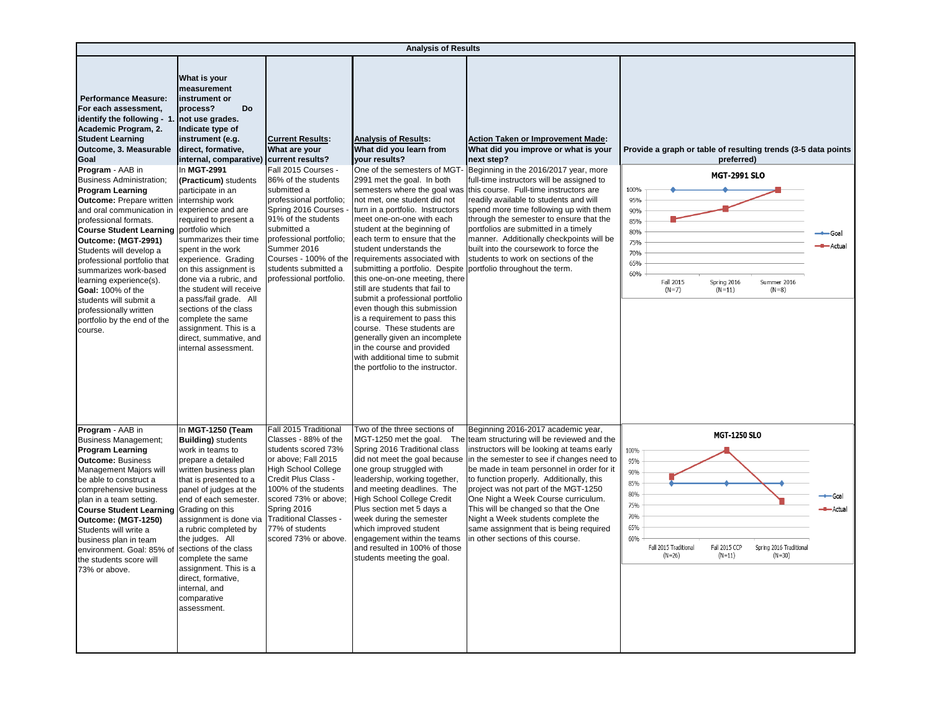|                                                                                                                                                                                                                                                                                                                                                                                                                                                                                                                                                                                                                                                                                          |                                                                                                                                                                                                                                                                                                                                                                                                                                                                                                                                                                                        |                                                                                                                                                                                                                                                                                                                     | <b>Analysis of Results</b>                                                                                                                                                                                                                                                                                                                                                                                                                                                                                                                                                                                                                                                                                                                                                     |                                                                                                                                                                                                                                                                                                                                                                                                                                                                                                                                                                      |                                                                                                                                                                                                                                                 |                            |
|------------------------------------------------------------------------------------------------------------------------------------------------------------------------------------------------------------------------------------------------------------------------------------------------------------------------------------------------------------------------------------------------------------------------------------------------------------------------------------------------------------------------------------------------------------------------------------------------------------------------------------------------------------------------------------------|----------------------------------------------------------------------------------------------------------------------------------------------------------------------------------------------------------------------------------------------------------------------------------------------------------------------------------------------------------------------------------------------------------------------------------------------------------------------------------------------------------------------------------------------------------------------------------------|---------------------------------------------------------------------------------------------------------------------------------------------------------------------------------------------------------------------------------------------------------------------------------------------------------------------|--------------------------------------------------------------------------------------------------------------------------------------------------------------------------------------------------------------------------------------------------------------------------------------------------------------------------------------------------------------------------------------------------------------------------------------------------------------------------------------------------------------------------------------------------------------------------------------------------------------------------------------------------------------------------------------------------------------------------------------------------------------------------------|----------------------------------------------------------------------------------------------------------------------------------------------------------------------------------------------------------------------------------------------------------------------------------------------------------------------------------------------------------------------------------------------------------------------------------------------------------------------------------------------------------------------------------------------------------------------|-------------------------------------------------------------------------------------------------------------------------------------------------------------------------------------------------------------------------------------------------|----------------------------|
| <b>Performance Measure:</b><br>For each assessment,<br>identify the following - 1.<br>Academic Program, 2.<br><b>Student Learning</b><br>Outcome, 3. Measurable<br>Goal<br>Program - AAB in<br><b>Business Administration;</b><br><b>Program Learning</b><br><b>Outcome:</b> Prepare written internship work<br>and oral communication in experience and are<br>professional formats.<br>Course Student Learning portfolio which<br>Outcome: (MGT-2991)<br>Students will develop a<br>professional portfolio that<br>summarizes work-based<br>learning experience(s).<br>Goal: 100% of the<br>students will submit a<br>professionally written<br>portfolio by the end of the<br>course. | What is your<br>measurement<br>instrument or<br>Do<br>process?<br>not use grades.<br>Indicate type of<br>instrument (e.g.<br>direct, formative,<br>internal, comparative) current results?<br>In MGT-2991<br>(Practicum) students<br>participate in an<br>required to present a<br>summarizes their time<br>spent in the work<br>experience. Grading<br>on this assignment is<br>done via a rubric, and<br>the student will receive<br>a pass/fail grade. All<br>sections of the class<br>complete the same<br>assignment. This is a<br>direct, summative, and<br>internal assessment. | <b>Current Results:</b><br>What are your<br>Fall 2015 Courses -<br>86% of the students<br>submitted a<br>professional portfolio;<br>Spring 2016 Courses<br>91% of the students<br>submitted a<br>professional portfolio;<br>Summer 2016<br>Courses - 100% of the<br>students submitted a<br>professional portfolio. | <b>Analysis of Results:</b><br>What did you learn from<br>your results?<br>One of the semesters of MGT-<br>2991 met the goal. In both<br>semesters where the goal was<br>not met, one student did not<br>turn in a portfolio. Instructors<br>meet one-on-one with each<br>student at the beginning of<br>each term to ensure that the<br>student understands the<br>requirements associated with<br>submitting a portfolio. Despite<br>this one-on-one meeting, there<br>still are students that fail to<br>submit a professional portfolio<br>even though this submission<br>is a requirement to pass this<br>course. These students are<br>generally given an incomplete<br>in the course and provided<br>with additional time to submit<br>the portfolio to the instructor. | <b>Action Taken or Improvement Made:</b><br>What did you improve or what is your<br>next step?<br>Beginning in the 2016/2017 year, more<br>full-time instructors will be assigned to<br>this course. Full-time instructors are<br>readily available to students and will<br>spend more time following up with them<br>through the semester to ensure that the<br>portfolios are submitted in a timely<br>manner. Additionally checkpoints will be<br>built into the coursework to force the<br>students to work on sections of the<br>portfolio throughout the term. | Provide a graph or table of resulting trends (3-5 data points<br>preferred)<br><b>MGT-2991 SLO</b><br>100%<br>95%<br>90%<br>85%<br>80%<br>75%<br>70%<br>65%<br>60%<br>Fall 2015<br>Spring 2016<br>Summer 2016<br>$(N=11)$<br>$(N=7)$<br>$(N=8)$ | → Goal<br><b>■ Actual</b>  |
| Program - AAB in<br><b>Business Management;</b><br><b>Program Learning</b><br><b>Outcome: Business</b><br>Management Majors will<br>be able to construct a<br>comprehensive business<br>plan in a team setting.<br>Course Student Learning Grading on this<br>Outcome: (MGT-1250)<br>Students will write a<br>business plan in team<br>environment. Goal: 85% of sections of the class<br>the students score will<br>73% or above.                                                                                                                                                                                                                                                       | In MGT-1250 (Team<br><b>Building)</b> students<br>work in teams to<br>prepare a detailed<br>written business plan<br>that is presented to a<br>panel of judges at the<br>end of each semester.<br>assignment is done via<br>a rubric completed by<br>the judges. All<br>complete the same<br>assignment. This is a<br>direct, formative,<br>internal, and<br>comparative<br>assessment.                                                                                                                                                                                                | Fall 2015 Traditional<br>Classes - 88% of the<br>students scored 73%<br>or above; Fall 2015<br><b>High School College</b><br>Credit Plus Class -<br>100% of the students<br>scored 73% or above;<br>Spring 2016<br><b>Traditional Classes</b><br>77% of students<br>scored 73% or above.                            | Two of the three sections of<br>Spring 2016 Traditional class<br>did not meet the goal because<br>one group struggled with<br>leadership, working together,<br>and meeting deadlines. The<br><b>High School College Credit</b><br>Plus section met 5 days a<br>week during the semester<br>which improved student<br>engagement within the teams<br>and resulted in 100% of those<br>students meeting the goal.                                                                                                                                                                                                                                                                                                                                                                | Beginning 2016-2017 academic year,<br>MGT-1250 met the goal. The team structuring will be reviewed and the<br>instructors will be looking at teams early<br>in the semester to see if changes need to<br>be made in team personnel in order for it<br>to function properly. Additionally, this<br>project was not part of the MGT-1250<br>One Night a Week Course curriculum.<br>This will be changed so that the One<br>Night a Week students complete the<br>same assignment that is being required<br>in other sections of this course.                           | <b>MGT-1250 SLO</b><br>100%<br>95%<br>90%<br>85%<br>80%<br>75%<br>70%<br>65%<br>60%<br>Fall 2015 CCP<br>Spring 2016 Traditional<br>Fall 2015 Traditional<br>$(N=26)$<br>$(N=11)$<br>$(N=30)$                                                    | ←Goal<br><b>-8-</b> Actual |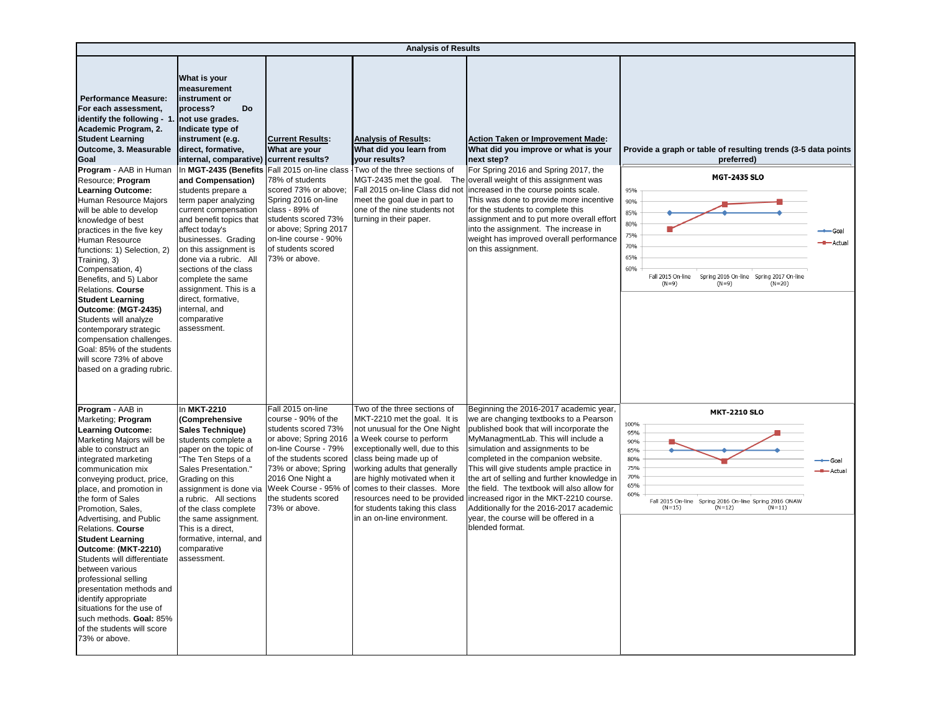|                                                                                                                                                                                                                                                                                                                                                                                                                                                                                                                                                                                                                                                                                                                           | <b>Analysis of Results</b>                                                                                                                                                                                                                                                                                                                                                                                                                                                                                                                                                                      |                                                                                                                                                                                                                                                                 |                                                                                                                                                                                                                                                                                                                                                                                          |                                                                                                                                                                                                                                                                                                                                                                                                                                                                                                                                             |                                                                                                                                                                                                                                                              |         |  |  |  |
|---------------------------------------------------------------------------------------------------------------------------------------------------------------------------------------------------------------------------------------------------------------------------------------------------------------------------------------------------------------------------------------------------------------------------------------------------------------------------------------------------------------------------------------------------------------------------------------------------------------------------------------------------------------------------------------------------------------------------|-------------------------------------------------------------------------------------------------------------------------------------------------------------------------------------------------------------------------------------------------------------------------------------------------------------------------------------------------------------------------------------------------------------------------------------------------------------------------------------------------------------------------------------------------------------------------------------------------|-----------------------------------------------------------------------------------------------------------------------------------------------------------------------------------------------------------------------------------------------------------------|------------------------------------------------------------------------------------------------------------------------------------------------------------------------------------------------------------------------------------------------------------------------------------------------------------------------------------------------------------------------------------------|---------------------------------------------------------------------------------------------------------------------------------------------------------------------------------------------------------------------------------------------------------------------------------------------------------------------------------------------------------------------------------------------------------------------------------------------------------------------------------------------------------------------------------------------|--------------------------------------------------------------------------------------------------------------------------------------------------------------------------------------------------------------------------------------------------------------|---------|--|--|--|
| <b>Performance Measure:</b><br>For each assessment,<br>identify the following - 1<br>Academic Program, 2.<br><b>Student Learning</b><br>Outcome, 3. Measurable<br>Goal<br>Program - AAB in Human<br>Resource; Program<br><b>Learning Outcome:</b><br>Human Resource Majors<br>will be able to develop<br>knowledge of best<br>practices in the five key<br>Human Resource<br>functions: 1) Selection, 2)<br>Training, 3)<br>Compensation, 4)<br>Benefits, and 5) Labor<br><b>Relations. Course</b><br><b>Student Learning</b><br>Outcome: (MGT-2435)<br>Students will analyze<br>contemporary strategic<br>compensation challenges.<br>Goal: 85% of the students<br>will score 73% of above<br>based on a grading rubric. | What is your<br>measurement<br>instrument or<br>process?<br><b>Do</b><br>not use grades.<br>Indicate type of<br>instrument (e.g.<br>direct, formative,<br>internal, comparative)<br>In MGT-2435 (Benefits Fall 2015 on-line class<br>and Compensation)<br>students prepare a<br>term paper analyzing<br>current compensation<br>and benefit topics that<br>affect today's<br>businesses. Grading<br>on this assignment is<br>done via a rubric. All<br>sections of the class<br>complete the same<br>assignment. This is a<br>direct, formative,<br>internal, and<br>comparative<br>assessment. | <b>Current Results:</b><br>What are your<br>current results?<br>78% of students<br>scored 73% or above:<br>Spring 2016 on-line<br>class - 89% of<br>students scored 73%<br>or above; Spring 2017<br>on-line course - 90%<br>of students scored<br>73% or above. | <b>Analysis of Results:</b><br>What did you learn from<br>your results?<br>Two of the three sections of<br>MGT-2435 met the goal. The<br>Fall 2015 on-line Class did not<br>meet the goal due in part to<br>one of the nine students not<br>turning in their paper.                                                                                                                      | <b>Action Taken or Improvement Made:</b><br>What did you improve or what is your<br>next step?<br>For Spring 2016 and Spring 2017, the<br>overall weight of this assignment was<br>increased in the course points scale.<br>This was done to provide more incentive<br>for the students to complete this<br>assignment and to put more overall effort<br>into the assignment. The increase in<br>weight has improved overall performance<br>on this assignment.                                                                             | Provide a graph or table of resulting trends (3-5 data points<br>preferred)<br><b>MGT-2435 SLO</b><br>95%<br>90%<br>85%<br>80%<br>75%<br>70%<br>65%<br>60%<br>Fall 2015 On-line<br>Spring 2016 On-line Spring 2017 On-line<br>$(N=9)$<br>$(N=9)$<br>$(N=20)$ | Actua   |  |  |  |
| Program - AAB in<br>Marketing; Program<br><b>Learning Outcome:</b><br>Marketing Majors will be<br>able to construct an<br>integrated marketing<br>communication mix<br>conveying product, price,<br>place, and promotion in<br>the form of Sales<br>Promotion, Sales,<br>Advertising, and Public<br><b>Relations. Course</b><br><b>Student Learning</b><br>Outcome: (MKT-2210)<br>Students will differentiate<br>between various<br>professional selling<br>presentation methods and<br>identify appropriate<br>situations for the use of<br>such methods. Goal: 85%<br>of the students will score<br>73% or above.                                                                                                       | In MKT-2210<br>(Comprehensive<br>Sales Technique)<br>students complete a<br>paper on the topic of<br>The Ten Steps of a<br>Sales Presentation."<br>Grading on this<br>assignment is done via<br>a rubric. All sections<br>of the class complete<br>the same assignment.<br>This is a direct,<br>formative, internal, and<br>comparative<br>assessment.                                                                                                                                                                                                                                          | Fall 2015 on-line<br>course - 90% of the<br>students scored 73%<br>or above; Spring 2016<br>on-line Course - 79%<br>of the students scored<br>73% or above; Spring<br>2016 One Night a<br>Week Course - 95% of<br>the students scored<br>73% or above.          | Two of the three sections of<br>MKT-2210 met the goal. It is<br>not unusual for the One Night<br>a Week course to perform<br>exceptionally well, due to this<br>class being made up of<br>working adults that generally<br>are highly motivated when it<br>comes to their classes. More<br>resources need to be provided<br>for students taking this class<br>in an on-line environment. | Beginning the 2016-2017 academic year,<br>we are changing textbooks to a Pearson<br>published book that will incorporate the<br>MyManagmentLab. This will include a<br>simulation and assignments to be<br>completed in the companion website.<br>This will give students ample practice in<br>the art of selling and further knowledge in<br>the field. The textbook will also allow for<br>increased rigor in the MKT-2210 course.<br>Additionally for the 2016-2017 academic<br>year, the course will be offered in a<br>blended format. | <b>MKT-2210 SLO</b><br>100%<br>95%<br>90%<br>85%<br>80%<br>75%<br>70%<br>65%<br>60%<br>Fall 2015 On-line<br>Spring 2016 On-line Spring 2016 ONAW<br>$(N=15)$<br>$(N=12)$<br>$(N=11)$                                                                         | - Actua |  |  |  |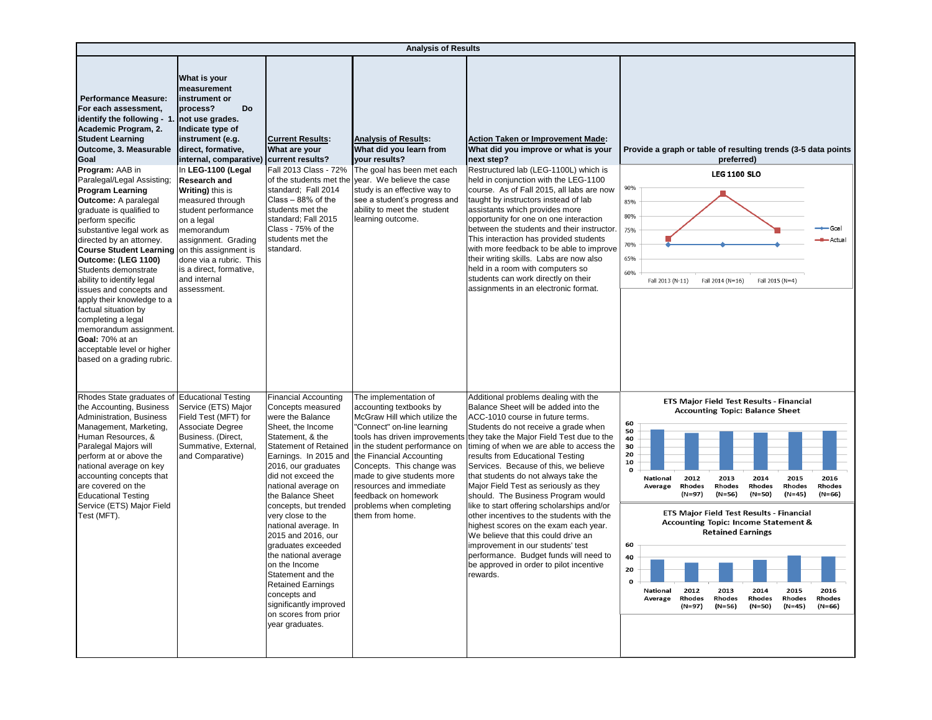|                                                                                                                                                                                                                                                                                                                                                                                                                                                                                                                                                                                                                                                                                                                                           | <b>Analysis of Results</b>                                                                                                                                                                                                                                                                                                                                                                                                           |                                                                                                                                                                                                                                                                                                                                                                                                                                                                                                                                                           |                                                                                                                                                                                                                                                                                                                                                                            |                                                                                                                                                                                                                                                                                                                                                                                                                                                                                                                                                                                                                                                                                                                                                                        |                                                                                                                                                                                                                                                                                                                                                                                                                                                                                                                                                                                                                                    |  |  |  |
|-------------------------------------------------------------------------------------------------------------------------------------------------------------------------------------------------------------------------------------------------------------------------------------------------------------------------------------------------------------------------------------------------------------------------------------------------------------------------------------------------------------------------------------------------------------------------------------------------------------------------------------------------------------------------------------------------------------------------------------------|--------------------------------------------------------------------------------------------------------------------------------------------------------------------------------------------------------------------------------------------------------------------------------------------------------------------------------------------------------------------------------------------------------------------------------------|-----------------------------------------------------------------------------------------------------------------------------------------------------------------------------------------------------------------------------------------------------------------------------------------------------------------------------------------------------------------------------------------------------------------------------------------------------------------------------------------------------------------------------------------------------------|----------------------------------------------------------------------------------------------------------------------------------------------------------------------------------------------------------------------------------------------------------------------------------------------------------------------------------------------------------------------------|------------------------------------------------------------------------------------------------------------------------------------------------------------------------------------------------------------------------------------------------------------------------------------------------------------------------------------------------------------------------------------------------------------------------------------------------------------------------------------------------------------------------------------------------------------------------------------------------------------------------------------------------------------------------------------------------------------------------------------------------------------------------|------------------------------------------------------------------------------------------------------------------------------------------------------------------------------------------------------------------------------------------------------------------------------------------------------------------------------------------------------------------------------------------------------------------------------------------------------------------------------------------------------------------------------------------------------------------------------------------------------------------------------------|--|--|--|
| <b>Performance Measure:</b><br>For each assessment,<br>identify the following - 1<br>Academic Program, 2.<br><b>Student Learning</b><br>Outcome, 3. Measurable<br>Goal<br>Program: AAB in<br>Paralegal/Legal Assisting;<br><b>Program Learning</b><br><b>Outcome: A paralegal</b><br>graduate is qualified to<br>perform specific<br>substantive legal work as<br>directed by an attorney.<br>Course Student Learning   on this assignment is<br>Outcome: (LEG 1100)<br>Students demonstrate<br>ability to identify legal<br>issues and concepts and<br>apply their knowledge to a<br>factual situation by<br>completing a legal<br>memorandum assignment.<br>Goal: 70% at an<br>acceptable level or higher<br>based on a grading rubric. | What is your<br>measurement<br>instrument or<br>process?<br><b>Do</b><br>not use grades.<br>Indicate type of<br>instrument (e.g.<br>direct, formative,<br>internal, comparative)<br>In LEG-1100 (Legal<br><b>Research and</b><br>Writing) this is<br>measured through<br>student performance<br>on a legal<br>memorandum<br>assignment. Grading<br>done via a rubric. This<br>is a direct, formative,<br>and internal<br>assessment. | <b>Current Results:</b><br>What are your<br>current results?<br>Fall 2013 Class - 72%<br>of the students met the<br>standard; Fall 2014<br>Class - 88% of the<br>students met the<br>standard; Fall 2015<br>Class - 75% of the<br>students met the<br>standard.                                                                                                                                                                                                                                                                                           | <b>Analysis of Results:</b><br>What did you learn from<br>your results?<br>The goal has been met each<br>year. We believe the case<br>study is an effective way to<br>see a student's progress and<br>ability to meet the student<br>learning outcome.                                                                                                                     | <b>Action Taken or Improvement Made:</b><br>What did you improve or what is your<br>next step?<br>Restructured lab (LEG-1100L) which is<br>held in conjunction with the LEG-1100<br>course. As of Fall 2015, all labs are now<br>taught by instructors instead of lab<br>assistants which provides more<br>opportunity for one on one interaction<br>between the students and their instructor.<br>This interaction has provided students<br>with more feedback to be able to improve<br>their writing skills. Labs are now also<br>held in a room with computers so<br>students can work directly on their<br>assignments in an electronic format.                                                                                                                    | Provide a graph or table of resulting trends (3-5 data points<br>preferred)<br><b>LEG 1100 SLO</b><br>90%<br>85%<br>80%<br>Goal<br>75%<br><b>-a-</b> Actual<br>70%<br>65%<br>60%<br>Fall 2013 (N-11)<br>Fall 2014 (N=16)<br>Fall 2015 (N=4)                                                                                                                                                                                                                                                                                                                                                                                        |  |  |  |
| Rhodes State graduates of<br>the Accounting, Business<br>Administration, Business<br>Management, Marketing,<br>Human Resources, &<br>Paralegal Majors will<br>perform at or above the<br>national average on key<br>accounting concepts that<br>are covered on the<br><b>Educational Testing</b><br>Service (ETS) Major Field<br>Test (MFT).                                                                                                                                                                                                                                                                                                                                                                                              | <b>Educational Testing</b><br>Service (ETS) Major<br>Field Test (MFT) for<br>Associate Degree<br>Business. (Direct,<br>Summative, External,<br>and Comparative)                                                                                                                                                                                                                                                                      | Financial Accounting<br>Concepts measured<br>were the Balance<br>Sheet, the Income<br>Statement, & the<br><b>Statement of Retained</b><br>Earnings. In 2015 and<br>2016, our graduates<br>did not exceed the<br>national average on<br>the Balance Sheet<br>concepts, but trended<br>very close to the<br>national average. In<br>2015 and 2016, our<br>graduates exceeded<br>the national average<br>on the Income<br>Statement and the<br><b>Retained Earnings</b><br>concepts and<br>significantly improved<br>on scores from prior<br>year graduates. | The implementation of<br>accounting textbooks by<br>McGraw Hill which utilize the<br>'Connect" on-line learning<br>tools has driven improvements<br>in the student performance on<br>the Financial Accounting<br>Concepts. This change was<br>made to give students more<br>resources and immediate<br>feedback on homework<br>problems when completing<br>them from home. | Additional problems dealing with the<br>Balance Sheet will be added into the<br>ACC-1010 course in future terms.<br>Students do not receive a grade when<br>they take the Major Field Test due to the<br>timing of when we are able to access the<br>results from Educational Testing<br>Services. Because of this, we believe<br>that students do not always take the<br>Major Field Test as seriously as they<br>should. The Business Program would<br>like to start offering scholarships and/or<br>other incentives to the students with the<br>highest scores on the exam each year.<br>We believe that this could drive an<br>improvement in our students' test<br>performance. Budget funds will need to<br>be approved in order to pilot incentive<br>rewards. | ETS Major Field Test Results - Financial<br><b>Accounting Topic: Balance Sheet</b><br>60<br>50<br>40<br>30<br>20<br>10<br>$\mathbf{o}$<br>2012<br>2013<br>2014<br>2015<br>2016<br>National<br>Rhodes<br>Rhodes<br>Rhodes<br>Rhodes<br>Rhodes<br>Average<br>(N=97)<br>$(N=56)$<br>$(N=50)$<br>$(N=45)$<br>(N=66)<br>ETS Major Field Test Results - Financial<br><b>Accounting Topic: Income Statement &amp;</b><br><b>Retained Earnings</b><br>60<br>40<br>0<br>2012<br>2013<br>2014<br>2015<br>2016<br>National<br>Rhodes<br>Average<br>Rhodes<br>Rhodes<br>Rhodes<br>Rhodes<br>(N=97)<br>(N=56)<br>(N=50)<br>$(N=45)$<br>$(N=66)$ |  |  |  |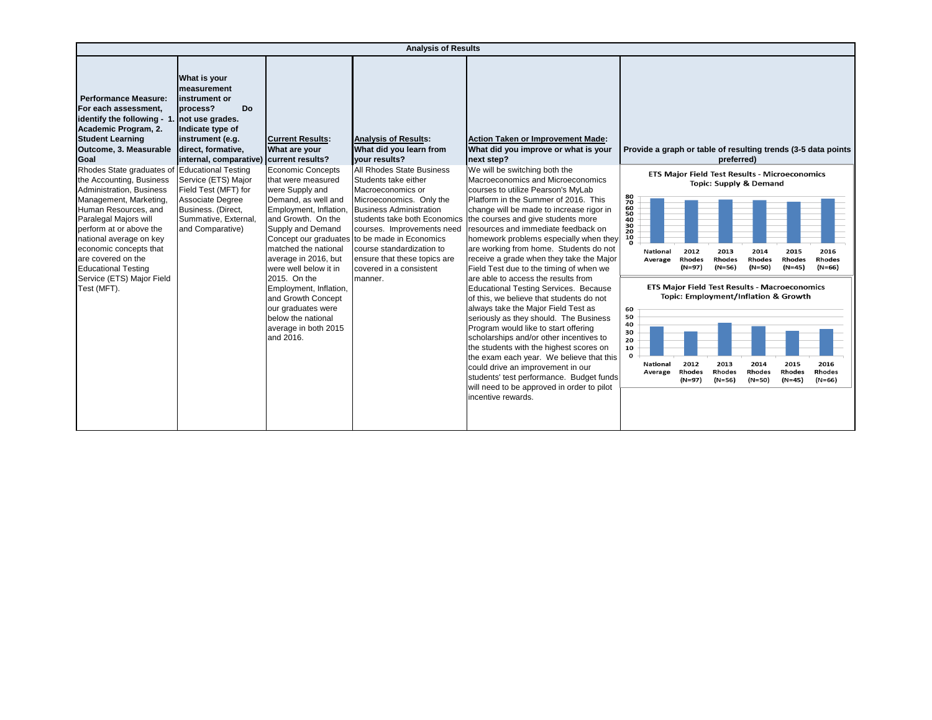| <b>Analysis of Results</b>                                                                                                                                                                                                                                                                                                                                                                                                                                                                                                                                  |                                                                                                                                                                                                                                                                                                             |                                                                                                                                                                                                                                                                                                                                                                                                                                                  |                                                                                                                                                                                                                                                                                                                                                                                                                                   |                                                                                                                                                                                                                                                                                                                                                                                                                                                                                                                                                                                                                                                                                                                                                                                                                                                                                                                                                                                                                                                                                             |                                                                                                                                                                                                                                                                                                                                                                                                                                                                                                                                                                                                                                                                                                                                                                                 |  |  |  |
|-------------------------------------------------------------------------------------------------------------------------------------------------------------------------------------------------------------------------------------------------------------------------------------------------------------------------------------------------------------------------------------------------------------------------------------------------------------------------------------------------------------------------------------------------------------|-------------------------------------------------------------------------------------------------------------------------------------------------------------------------------------------------------------------------------------------------------------------------------------------------------------|--------------------------------------------------------------------------------------------------------------------------------------------------------------------------------------------------------------------------------------------------------------------------------------------------------------------------------------------------------------------------------------------------------------------------------------------------|-----------------------------------------------------------------------------------------------------------------------------------------------------------------------------------------------------------------------------------------------------------------------------------------------------------------------------------------------------------------------------------------------------------------------------------|---------------------------------------------------------------------------------------------------------------------------------------------------------------------------------------------------------------------------------------------------------------------------------------------------------------------------------------------------------------------------------------------------------------------------------------------------------------------------------------------------------------------------------------------------------------------------------------------------------------------------------------------------------------------------------------------------------------------------------------------------------------------------------------------------------------------------------------------------------------------------------------------------------------------------------------------------------------------------------------------------------------------------------------------------------------------------------------------|---------------------------------------------------------------------------------------------------------------------------------------------------------------------------------------------------------------------------------------------------------------------------------------------------------------------------------------------------------------------------------------------------------------------------------------------------------------------------------------------------------------------------------------------------------------------------------------------------------------------------------------------------------------------------------------------------------------------------------------------------------------------------------|--|--|--|
| <b>Performance Measure:</b><br>For each assessment.<br>identify the following - 1. not use grades.<br>Academic Program, 2.<br><b>Student Learning</b><br>Outcome, 3. Measurable<br>Goal<br>Rhodes State graduates of Educational Testing<br>the Accounting, Business<br>Administration, Business<br>Management, Marketing,<br>Human Resources, and<br>Paralegal Majors will<br>perform at or above the<br>national average on key<br>economic concepts that<br>are covered on the<br><b>Educational Testing</b><br>Service (ETS) Major Field<br>Test (MFT). | What is your<br><b>Imeasurement</b><br>linstrument or<br><b>Do</b><br>process?<br>Indicate type of<br>instrument (e.g.<br>direct, formative,<br>internal, comparative)<br>Service (ETS) Major<br>Field Test (MFT) for<br>Associate Degree<br>Business. (Direct,<br>Summative, External,<br>and Comparative) | <b>Current Results:</b><br>What are your<br>current results?<br>Economic Concepts<br>that were measured<br>were Supply and<br>Demand, as well and<br>Employment, Inflation,<br>and Growth. On the<br>Supply and Demand<br>matched the national<br>average in 2016, but<br>were well below it in<br>2015. On the<br>Employment, Inflation,<br>and Growth Concept<br>our graduates were<br>below the national<br>average in both 2015<br>and 2016. | <b>Analysis of Results:</b><br>What did you learn from<br>your results?<br>All Rhodes State Business<br>Students take either<br>Macroeconomics or<br>Microeconomics. Only the<br><b>Business Administration</b><br>students take both Economics<br>courses. Improvements need<br>Concept our graduates to be made in Economics<br>course standardization to<br>ensure that these topics are<br>covered in a consistent<br>manner. | Action Taken or Improvement Made:<br>What did you improve or what is your<br>next step?<br>We will be switching both the<br>Macroeconomics and Microeconomics<br>courses to utilize Pearson's MyLab<br>Platform in the Summer of 2016. This<br>change will be made to increase rigor in<br>the courses and give students more<br>resources and immediate feedback on<br>homework problems especially when they<br>are working from home. Students do not<br>receive a grade when they take the Major<br>Field Test due to the timing of when we<br>are able to access the results from<br>Educational Testing Services. Because<br>of this, we believe that students do not<br>always take the Major Field Test as<br>seriously as they should. The Business<br>Program would like to start offering<br>scholarships and/or other incentives to<br>the students with the highest scores on<br>the exam each year. We believe that this<br>could drive an improvement in our<br>students' test performance. Budget funds<br>will need to be approved in order to pilot<br>incentive rewards. | Provide a graph or table of resulting trends (3-5 data points<br>preferred)<br>ETS Major Field Test Results - Microeconomics<br><b>Topic: Supply &amp; Demand</b><br>80<br>70<br>60<br>50<br>40<br>30<br>20<br>10<br>$\Omega$<br>2012<br>2014<br>2015<br>2016<br>2013<br><b>National</b><br><b>Rhodes</b><br><b>Rhodes</b><br>Rhodes<br><b>Rhodes</b><br><b>Rhodes</b><br>Average<br>$(N=45)$<br>(N=97)<br>$(N=56)$<br>(N=50)<br>$(N=66)$<br><b>ETS Major Field Test Results - Macroeconomics</b><br>Topic: Employment/Inflation & Growth<br>60<br>50<br>40<br>30<br>20<br>10<br>$\mathbf{o}$<br>2012<br>2013<br>2014<br>2015<br>2016<br><b>National</b><br>Rhodes<br>Rhodes<br>Rhodes<br>Rhodes<br>Rhodes<br>Average<br>(N=97)<br>$(N=56)$<br>$(N=50)$<br>$(N=45)$<br>$(N=66)$ |  |  |  |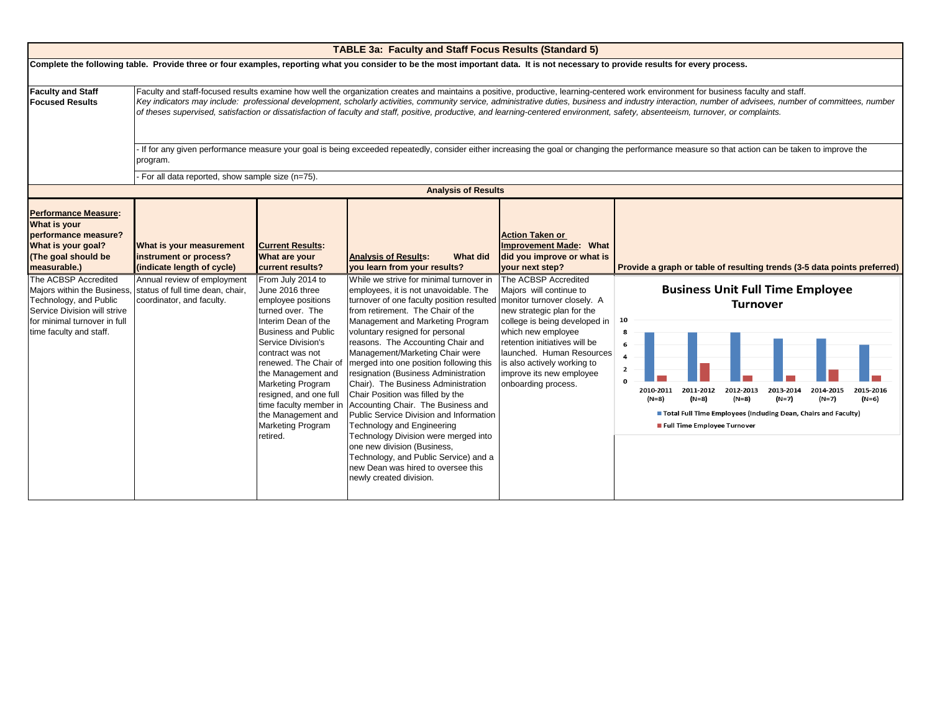|                                                                                                                                                                                                                                                                                      |                                                                                                                                                                                                                                                                                                                                                                                                                                                                                                                                                                                         |                                                                                                                                                                                                                                                                                                                                                                                                                                     | <b>TABLE 3a: Faculty and Staff Focus Results (Standard 5)</b>                                                                                                                                                                                                                                                                                                                                                                                                                                                                                                                                                                                                                                                                                                                                                                                                     |                                                                                                                                                                                                                                                                                                                                                                                                                          |                                                                                                                                                                                                                                                                                                                                                                                                                        |  |  |  |  |  |
|--------------------------------------------------------------------------------------------------------------------------------------------------------------------------------------------------------------------------------------------------------------------------------------|-----------------------------------------------------------------------------------------------------------------------------------------------------------------------------------------------------------------------------------------------------------------------------------------------------------------------------------------------------------------------------------------------------------------------------------------------------------------------------------------------------------------------------------------------------------------------------------------|-------------------------------------------------------------------------------------------------------------------------------------------------------------------------------------------------------------------------------------------------------------------------------------------------------------------------------------------------------------------------------------------------------------------------------------|-------------------------------------------------------------------------------------------------------------------------------------------------------------------------------------------------------------------------------------------------------------------------------------------------------------------------------------------------------------------------------------------------------------------------------------------------------------------------------------------------------------------------------------------------------------------------------------------------------------------------------------------------------------------------------------------------------------------------------------------------------------------------------------------------------------------------------------------------------------------|--------------------------------------------------------------------------------------------------------------------------------------------------------------------------------------------------------------------------------------------------------------------------------------------------------------------------------------------------------------------------------------------------------------------------|------------------------------------------------------------------------------------------------------------------------------------------------------------------------------------------------------------------------------------------------------------------------------------------------------------------------------------------------------------------------------------------------------------------------|--|--|--|--|--|
|                                                                                                                                                                                                                                                                                      | Complete the following table. Provide three or four examples, reporting what you consider to be the most important data. It is not necessary to provide results for every process.                                                                                                                                                                                                                                                                                                                                                                                                      |                                                                                                                                                                                                                                                                                                                                                                                                                                     |                                                                                                                                                                                                                                                                                                                                                                                                                                                                                                                                                                                                                                                                                                                                                                                                                                                                   |                                                                                                                                                                                                                                                                                                                                                                                                                          |                                                                                                                                                                                                                                                                                                                                                                                                                        |  |  |  |  |  |
| <b>Faculty and Staff</b><br><b>Focused Results</b>                                                                                                                                                                                                                                   | Faculty and staff-focused results examine how well the organization creates and maintains a positive, productive, learning-centered work environment for business faculty and staff.<br>Key indicators may include: professional development, scholarly activities, community service, administrative duties, business and industry interaction, number of advisees, number of committees, number<br>of theses supervised, satisfaction or dissatisfaction of faculty and staff, positive, productive, and learning-centered environment, safety, absenteeism, turnover, or complaints. |                                                                                                                                                                                                                                                                                                                                                                                                                                     |                                                                                                                                                                                                                                                                                                                                                                                                                                                                                                                                                                                                                                                                                                                                                                                                                                                                   |                                                                                                                                                                                                                                                                                                                                                                                                                          |                                                                                                                                                                                                                                                                                                                                                                                                                        |  |  |  |  |  |
|                                                                                                                                                                                                                                                                                      | If for any given performance measure your goal is being exceeded repeatedly, consider either increasing the goal or changing the performance measure so that action can be taken to improve the<br>program.                                                                                                                                                                                                                                                                                                                                                                             |                                                                                                                                                                                                                                                                                                                                                                                                                                     |                                                                                                                                                                                                                                                                                                                                                                                                                                                                                                                                                                                                                                                                                                                                                                                                                                                                   |                                                                                                                                                                                                                                                                                                                                                                                                                          |                                                                                                                                                                                                                                                                                                                                                                                                                        |  |  |  |  |  |
|                                                                                                                                                                                                                                                                                      | - For all data reported, show sample size (n=75).                                                                                                                                                                                                                                                                                                                                                                                                                                                                                                                                       |                                                                                                                                                                                                                                                                                                                                                                                                                                     |                                                                                                                                                                                                                                                                                                                                                                                                                                                                                                                                                                                                                                                                                                                                                                                                                                                                   |                                                                                                                                                                                                                                                                                                                                                                                                                          |                                                                                                                                                                                                                                                                                                                                                                                                                        |  |  |  |  |  |
|                                                                                                                                                                                                                                                                                      |                                                                                                                                                                                                                                                                                                                                                                                                                                                                                                                                                                                         |                                                                                                                                                                                                                                                                                                                                                                                                                                     | <b>Analysis of Results</b>                                                                                                                                                                                                                                                                                                                                                                                                                                                                                                                                                                                                                                                                                                                                                                                                                                        |                                                                                                                                                                                                                                                                                                                                                                                                                          |                                                                                                                                                                                                                                                                                                                                                                                                                        |  |  |  |  |  |
| <b>Performance Measure:</b><br><b>What is your</b><br>performance measure?<br>What is your goal?<br>(The goal should be<br>measurable.)<br>The ACBSP Accredited<br>Technology, and Public<br>Service Division will strive<br>for minimal turnover in full<br>time faculty and staff. | What is your measurement<br>instrument or process?<br>(indicate length of cycle)<br>Annual review of employment<br>Majors within the Business, status of full time dean, chair,<br>coordinator, and faculty.                                                                                                                                                                                                                                                                                                                                                                            | <b>Current Results:</b><br>What are your<br>current results?<br>From July 2014 to<br>June 2016 three<br>employee positions<br>turned over. The<br>Interim Dean of the<br><b>Business and Public</b><br>Service Division's<br>contract was not<br>renewed. The Chair of<br>the Management and<br><b>Marketing Program</b><br>resigned, and one full<br>time faculty member in<br>the Management and<br>Marketing Program<br>retired. | <b>Analysis of Results:</b><br>What did<br>you learn from your results?<br>While we strive for minimal turnover in<br>employees, it is not unavoidable. The<br>turnover of one faculty position resulted<br>from retirement. The Chair of the<br>Management and Marketing Program<br>voluntary resigned for personal<br>reasons. The Accounting Chair and<br>Management/Marketing Chair were<br>merged into one position following this<br>resignation (Business Administration<br>Chair). The Business Administration<br>Chair Position was filled by the<br>Accounting Chair. The Business and<br>Public Service Division and Information<br><b>Technology and Engineering</b><br>Technology Division were merged into<br>one new division (Business,<br>Technology, and Public Service) and a<br>new Dean was hired to oversee this<br>newly created division. | <b>Action Taken or</b><br>Improvement Made: What<br>did you improve or what is<br>your next step?<br>The ACBSP Accredited<br>Majors will continue to<br>monitor turnover closely. A<br>new strategic plan for the<br>college is being developed in<br>which new employee<br>retention initiatives will be<br>launched. Human Resources<br>is also actively working to<br>improve its new employee<br>onboarding process. | Provide a graph or table of resulting trends (3-5 data points preferred)<br><b>Business Unit Full Time Employee</b><br><b>Turnover</b><br>10<br>8<br>6<br>4<br>$\overline{2}$<br>2010-2011<br>2011-2012<br>2012-2013<br>2013-2014<br>2014-2015<br>2015-2016<br>$(N=8)$<br>(N=8)<br>$(N=7)$<br>(N=8)<br>(N=7)<br>(N=6)<br>Total Full Time Employees (Including Dean, Chairs and Faculty)<br>Full Time Employee Turnover |  |  |  |  |  |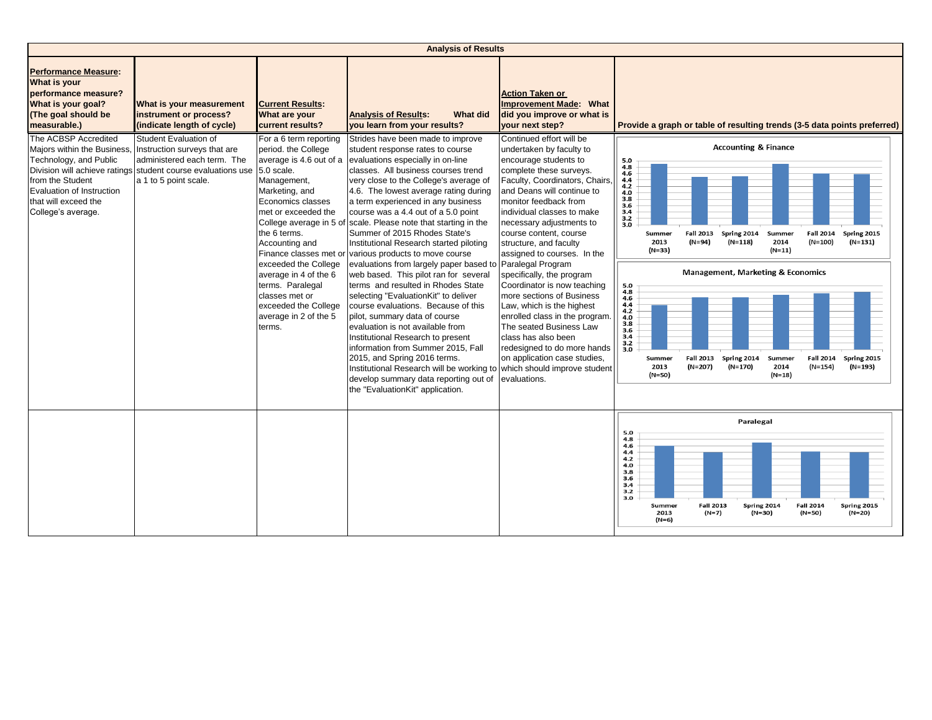|                                                                                                                                                                                                           | <b>Analysis of Results</b>                                                                                                                    |                                                                                                                                                                                                                                                                                                                                                        |                                                                                                                                                                                                                                                                                                                                                                                                                                                                                                                                                                                                                                                                                                                                                                                                                                                |                                                                                                                                                                                                                                                                                                                                                                                                                                                                                                                                                                               |                                                                                                                                                                                                                                                                                                                                                                                                                                                                                              |  |  |  |  |
|-----------------------------------------------------------------------------------------------------------------------------------------------------------------------------------------------------------|-----------------------------------------------------------------------------------------------------------------------------------------------|--------------------------------------------------------------------------------------------------------------------------------------------------------------------------------------------------------------------------------------------------------------------------------------------------------------------------------------------------------|------------------------------------------------------------------------------------------------------------------------------------------------------------------------------------------------------------------------------------------------------------------------------------------------------------------------------------------------------------------------------------------------------------------------------------------------------------------------------------------------------------------------------------------------------------------------------------------------------------------------------------------------------------------------------------------------------------------------------------------------------------------------------------------------------------------------------------------------|-------------------------------------------------------------------------------------------------------------------------------------------------------------------------------------------------------------------------------------------------------------------------------------------------------------------------------------------------------------------------------------------------------------------------------------------------------------------------------------------------------------------------------------------------------------------------------|----------------------------------------------------------------------------------------------------------------------------------------------------------------------------------------------------------------------------------------------------------------------------------------------------------------------------------------------------------------------------------------------------------------------------------------------------------------------------------------------|--|--|--|--|
| <b>Performance Measure:</b><br>What is your<br>performance measure?<br>What is your goal?<br>(The goal should be<br>measurable.)                                                                          | What is your measurement<br>instrument or process?<br>(indicate length of cycle)                                                              | <b>Current Results:</b><br>What are your<br>current results?                                                                                                                                                                                                                                                                                           | <b>Analysis of Results:</b><br>What did<br>you learn from your results?                                                                                                                                                                                                                                                                                                                                                                                                                                                                                                                                                                                                                                                                                                                                                                        | <b>Action Taken or</b><br><b>Improvement Made: What</b><br>did you improve or what is<br>your next step?                                                                                                                                                                                                                                                                                                                                                                                                                                                                      | Provide a graph or table of resulting trends (3-5 data points preferred)                                                                                                                                                                                                                                                                                                                                                                                                                     |  |  |  |  |
| The ACBSP Accredited<br>Majors within the Business, Instruction surveys that are<br>Technology, and Public<br>from the Student<br>Evaluation of Instruction<br>that will exceed the<br>College's average. | Student Evaluation of<br>administered each term. The<br>Division will achieve ratings student course evaluations use<br>a 1 to 5 point scale. | For a 6 term reporting<br>period. the College<br>5.0 scale.<br>Management,<br>Marketing, and<br>Economics classes<br>met or exceeded the<br>the 6 terms.<br>Accounting and<br>Finance classes met or<br>exceeded the College<br>average in 4 of the 6<br>terms. Paralegal<br>classes met or<br>exceeded the College<br>average in 2 of the 5<br>terms. | Strides have been made to improve<br>student response rates to course<br>average is 4.6 out of a evaluations especially in on-line<br>classes. All business courses trend<br>very close to the College's average of<br>4.6. The lowest average rating during<br>a term experienced in any business<br>course was a 4.4 out of a 5.0 point<br>College average in 5 of scale. Please note that starting in the<br>Summer of 2015 Rhodes State's<br>Institutional Research started piloting<br>various products to move course<br>evaluations from largely paper based to<br>web based. This pilot ran for several<br>terms and resulted in Rhodes State<br>selecting "EvaluationKit" to deliver<br>course evaluations. Because of this<br>pilot, summary data of course<br>evaluation is not available from<br>Institutional Research to present | Continued effort will be<br>undertaken by faculty to<br>encourage students to<br>complete these surveys.<br>Faculty, Coordinators, Chairs,<br>and Deans will continue to<br>monitor feedback from<br>individual classes to make<br>necessary adjustments to<br>course content, course<br>structure, and faculty<br>assigned to courses. In the<br>Paralegal Program<br>specifically, the program<br>Coordinator is now teaching<br>more sections of Business<br>Law, which is the highest<br>enrolled class in the program.<br>The seated Business Law<br>class has also been | <b>Accounting &amp; Finance</b><br>$\begin{array}{c} 5.0 \\ 4.8 \\ 4.6 \end{array}$<br>$4.4$<br>$4.2$<br>4.0<br>3.8<br>3.6<br>3.4<br>$\frac{3.2}{3.0}$<br>Spring 2014<br>Spring 2015<br>Summer<br><b>Fall 2013</b><br>Summer<br><b>Fall 2014</b><br>2013<br>(N=94)<br>$(N=118)$<br>2014<br>$(N=100)$<br>$(N=131)$<br>(N=33)<br>$(N=11)$<br><b>Management, Marketing &amp; Economics</b><br>$\begin{array}{c} 5.0 \\ 4.8 \end{array}$<br>4.6<br>4.4<br>4.2<br>$\frac{4.0}{3.8}$<br>3.6<br>3.4 |  |  |  |  |
|                                                                                                                                                                                                           |                                                                                                                                               |                                                                                                                                                                                                                                                                                                                                                        | information from Summer 2015, Fall<br>2015, and Spring 2016 terms.<br>Institutional Research will be working to<br>develop summary data reporting out of<br>the "EvaluationKit" application.                                                                                                                                                                                                                                                                                                                                                                                                                                                                                                                                                                                                                                                   | redesigned to do more hands<br>on application case studies,<br>which should improve student<br>evaluations.                                                                                                                                                                                                                                                                                                                                                                                                                                                                   | $\frac{3.2}{3.0}$<br><b>Fall 2013</b><br>Spring 2014<br><b>Fall 2014</b><br>Spring 2015<br>Summer<br>Summer<br>$(N=193)$<br>2013<br>$(N=207)$<br>$(N=170)$<br>2014<br>$(N=154)$<br>$(N=50)$<br>$(N=18)$                                                                                                                                                                                                                                                                                      |  |  |  |  |
|                                                                                                                                                                                                           |                                                                                                                                               |                                                                                                                                                                                                                                                                                                                                                        |                                                                                                                                                                                                                                                                                                                                                                                                                                                                                                                                                                                                                                                                                                                                                                                                                                                |                                                                                                                                                                                                                                                                                                                                                                                                                                                                                                                                                                               | Paralegal<br>5.0                                                                                                                                                                                                                                                                                                                                                                                                                                                                             |  |  |  |  |
|                                                                                                                                                                                                           |                                                                                                                                               |                                                                                                                                                                                                                                                                                                                                                        |                                                                                                                                                                                                                                                                                                                                                                                                                                                                                                                                                                                                                                                                                                                                                                                                                                                |                                                                                                                                                                                                                                                                                                                                                                                                                                                                                                                                                                               | 4.8<br>4.6<br>4.4<br>4.2<br>4.0<br>3.8<br>3.6<br>3.4<br>3.2<br>3.0<br><b>Fall 2013</b><br>Spring 2014<br><b>Fall 2014</b><br>Spring 2015<br>Summer<br>2013<br>$(N=7)$<br>$(N=30)$<br>$(N=50)$<br>(N=20)<br>$(N=6)$                                                                                                                                                                                                                                                                           |  |  |  |  |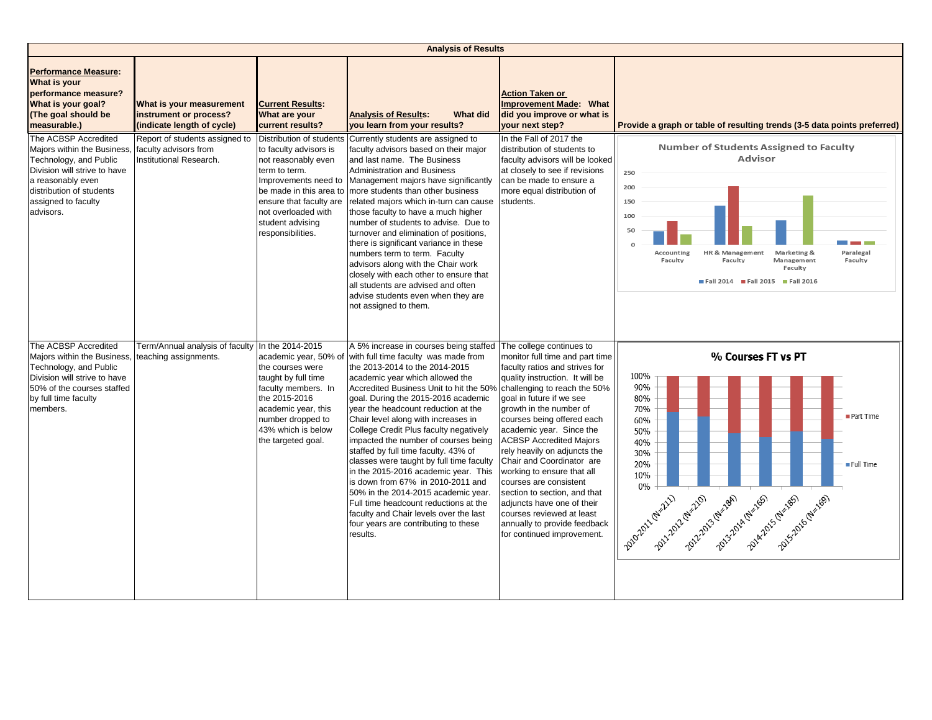|                                                                                                                                                                                                    | <b>Analysis of Results</b>                                                         |                                                                                                                                                                                             |                                                                                                                                                                                                                                                                                                                                                                                                                                                                                                                                                                                                                                                                                                                                                                            |                                                                                                                                                                                                                                                                                                                                                                                                                                                                                                                                                                                                   |                                                                                                                                                                                                                                                                       |  |  |  |
|----------------------------------------------------------------------------------------------------------------------------------------------------------------------------------------------------|------------------------------------------------------------------------------------|---------------------------------------------------------------------------------------------------------------------------------------------------------------------------------------------|----------------------------------------------------------------------------------------------------------------------------------------------------------------------------------------------------------------------------------------------------------------------------------------------------------------------------------------------------------------------------------------------------------------------------------------------------------------------------------------------------------------------------------------------------------------------------------------------------------------------------------------------------------------------------------------------------------------------------------------------------------------------------|---------------------------------------------------------------------------------------------------------------------------------------------------------------------------------------------------------------------------------------------------------------------------------------------------------------------------------------------------------------------------------------------------------------------------------------------------------------------------------------------------------------------------------------------------------------------------------------------------|-----------------------------------------------------------------------------------------------------------------------------------------------------------------------------------------------------------------------------------------------------------------------|--|--|--|
| <b>Performance Measure:</b><br><b>What is your</b><br>performance measure?<br>What is your goal?<br>(The goal should be<br>measurable.)                                                            | What is your measurement<br>instrument or process?<br>(indicate length of cycle)   | <b>Current Results:</b><br>What are your<br>current results?                                                                                                                                | <b>Analysis of Results:</b><br><b>What did</b><br>you learn from your results?                                                                                                                                                                                                                                                                                                                                                                                                                                                                                                                                                                                                                                                                                             | <b>Action Taken or</b><br><b>Improvement Made: What</b><br>did you improve or what is<br>your next step?                                                                                                                                                                                                                                                                                                                                                                                                                                                                                          | Provide a graph or table of resulting trends (3-5 data points preferred)                                                                                                                                                                                              |  |  |  |
| The ACBSP Accredited<br>Majors within the Business,<br>Technology, and Public<br>Division will strive to have<br>a reasonably even<br>distribution of students<br>assigned to faculty<br>advisors. | Report of students assigned to<br>faculty advisors from<br>Institutional Research. | to faculty advisors is<br>not reasonably even<br>term to term.<br>ensure that faculty are<br>not overloaded with<br>student advising<br>responsibilities.                                   | Distribution of students Currently students are assigned to<br>faculty advisors based on their major<br>and last name. The Business<br><b>Administration and Business</b><br>Improvements need to Management majors have significantly<br>be made in this area to more students than other business<br>related majors which in-turn can cause<br>those faculty to have a much higher<br>number of students to advise. Due to<br>turnover and elimination of positions,<br>there is significant variance in these<br>numbers term to term. Faculty<br>advisors along with the Chair work<br>closely with each other to ensure that<br>all students are advised and often<br>advise students even when they are<br>not assigned to them.                                     | In the Fall of 2017 the<br>distribution of students to<br>faculty advisors will be looked<br>at closely to see if revisions<br>can be made to ensure a<br>more equal distribution of<br>students.                                                                                                                                                                                                                                                                                                                                                                                                 | <b>Number of Students Assigned to Faculty</b><br><b>Advisor</b><br>250<br>200<br>150<br>100<br>50<br>$\Omega$<br>Paralegal<br>Accounting<br>HR & Management<br>Marketing &<br>Faculty<br>Faculty<br>Management<br>Faculty<br>Faculty<br>Fall 2014 Fall 2015 Fall 2016 |  |  |  |
| The ACBSP Accredited<br>Majors within the Business,<br>Technology, and Public<br>Division will strive to have<br>50% of the courses staffed<br>by full time faculty<br>members.                    | Term/Annual analysis of faculty<br>teaching assignments.                           | In the 2014-2015<br>the courses were<br>taught by full time<br>faculty members. In<br>the 2015-2016<br>academic year, this<br>number dropped to<br>43% which is below<br>the targeted goal. | A 5% increase in courses being staffed<br>academic year, 50% of with full time faculty was made from<br>the 2013-2014 to the 2014-2015<br>academic year which allowed the<br>Accredited Business Unit to hit the 50%<br>goal. During the 2015-2016 academic<br>year the headcount reduction at the<br>Chair level along with increases in<br>College Credit Plus faculty negatively<br>impacted the number of courses being<br>staffed by full time faculty. 43% of<br>classes were taught by full time faculty<br>in the 2015-2016 academic year. This<br>is down from 67% in 2010-2011 and<br>50% in the 2014-2015 academic year.<br>Full time headcount reductions at the<br>faculty and Chair levels over the last<br>four years are contributing to these<br>results. | The college continues to<br>monitor full time and part time<br>faculty ratios and strives for<br>quality instruction. It will be<br>challenging to reach the 50%<br>goal in future if we see<br>growth in the number of<br>courses being offered each<br>academic year. Since the<br><b>ACBSP Accredited Majors</b><br>rely heavily on adjuncts the<br>Chair and Coordinator are<br>working to ensure that all<br>courses are consistent<br>section to section, and that<br>adjuncts have one of their<br>courses reviewed at least<br>annually to provide feedback<br>for continued improvement. | % Courses FT vs PT<br>100%<br>90%<br>80%<br>70%<br>Part Time<br>60%<br>50%<br>40%<br>30%<br>20%<br>Full Time<br>10%<br>0%<br>zoucrazi religion de la chemie de la chemie de la chemie de la chemie                                                                    |  |  |  |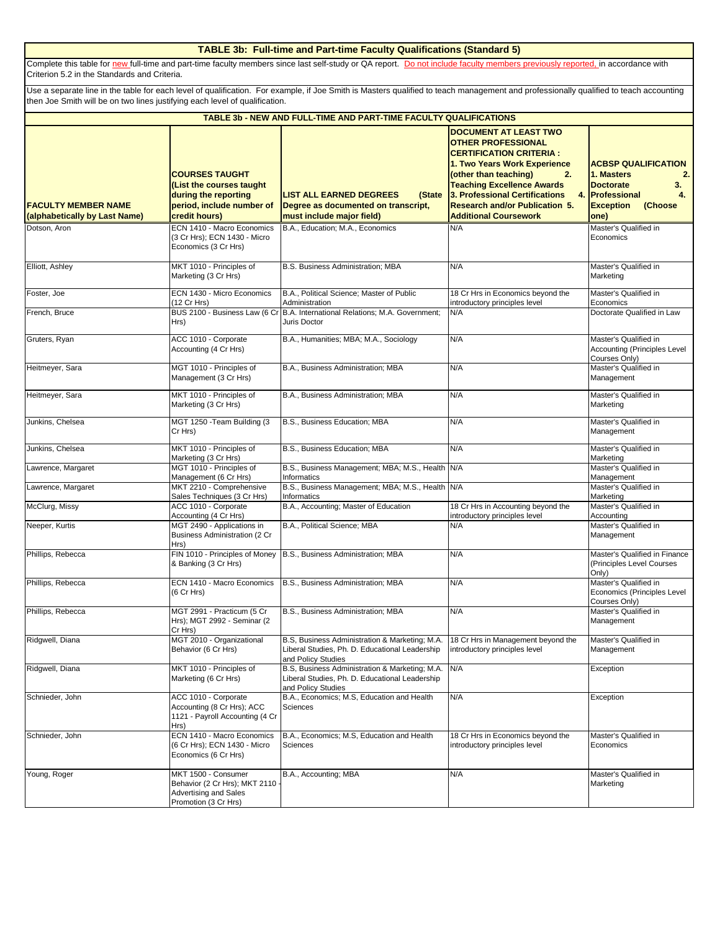#### **TABLE 3b: Full-time and Part-time Faculty Qualifications (Standard 5)**

Complete this table for new full-time and part-time faculty members since last self-study or QA report. Do not include faculty members previously reported, in accordance with Criterion 5.2 in the Standards and Criteria.

Use a separate line in the table for each level of qualification. For example, if Joe Smith is Masters qualified to teach management and professionally qualified to teach accounting then Joe Smith will be on two lines justifying each level of qualification.

| <b>TABLE 3b - NEW AND FULL-TIME AND PART-TIME FACULTY QUALIFICATIONS</b> |                                                                                                                         |                                                                                                                                                           |                                                                                                                                                                                                                                                                                                                   |                                                                                                                                       |  |  |  |  |  |
|--------------------------------------------------------------------------|-------------------------------------------------------------------------------------------------------------------------|-----------------------------------------------------------------------------------------------------------------------------------------------------------|-------------------------------------------------------------------------------------------------------------------------------------------------------------------------------------------------------------------------------------------------------------------------------------------------------------------|---------------------------------------------------------------------------------------------------------------------------------------|--|--|--|--|--|
| <b>FACULTY MEMBER NAME</b><br>(alphabetically by Last Name)              | <b>COURSES TAUGHT</b><br>(List the courses taught<br>during the reporting<br>period, include number of<br>credit hours) | <b>LIST ALL EARNED DEGREES</b><br>(State<br>Degree as documented on transcript,<br>must include major field)                                              | <b>DOCUMENT AT LEAST TWO</b><br><b>OTHER PROFESSIONAL</b><br><b>CERTIFICATION CRITERIA :</b><br>1. Two Years Work Experience<br>(other than teaching)<br>2.<br><b>Teaching Excellence Awards</b><br>3. Professional Certifications<br>4.<br><b>Research and/or Publication 5.</b><br><b>Additional Coursework</b> | <b>ACBSP QUALIFICATION</b><br>1. Masters<br>2.<br><b>Doctorate</b><br>3.<br>Professional<br>4.<br>(Choose<br><b>Exception</b><br>one) |  |  |  |  |  |
| Dotson, Aron                                                             | ECN 1410 - Macro Economics<br>(3 Cr Hrs); ECN 1430 - Micro<br>Economics (3 Cr Hrs)                                      | B.A., Education; M.A., Economics                                                                                                                          | N/A                                                                                                                                                                                                                                                                                                               | Master's Qualified in<br>Economics                                                                                                    |  |  |  |  |  |
| Elliott, Ashley                                                          | MKT 1010 - Principles of<br>Marketing (3 Cr Hrs)                                                                        | B.S. Business Administration; MBA                                                                                                                         | N/A                                                                                                                                                                                                                                                                                                               | Master's Qualified in<br>Marketing                                                                                                    |  |  |  |  |  |
| Foster, Joe                                                              | ECN 1430 - Micro Economics<br>(12 Cr Hrs)                                                                               | B.A., Political Science; Master of Public<br>Administration                                                                                               | 18 Cr Hrs in Economics beyond the<br>introductory principles level                                                                                                                                                                                                                                                | Master's Qualified in<br>Economics                                                                                                    |  |  |  |  |  |
| French, Bruce                                                            | Hrs)                                                                                                                    | BUS 2100 - Business Law (6 Cr B.A. International Relations; M.A. Government;<br>Juris Doctor                                                              | N/A                                                                                                                                                                                                                                                                                                               | Doctorate Qualified in Law                                                                                                            |  |  |  |  |  |
| Gruters, Ryan                                                            | ACC 1010 - Corporate<br>Accounting (4 Cr Hrs)                                                                           | B.A., Humanities; MBA; M.A., Sociology                                                                                                                    | N/A                                                                                                                                                                                                                                                                                                               | Master's Qualified in<br><b>Accounting (Principles Level</b><br>Courses Only)                                                         |  |  |  |  |  |
| Heitmeyer, Sara                                                          | MGT 1010 - Principles of<br>Management (3 Cr Hrs)                                                                       | B.A., Business Administration; MBA                                                                                                                        | N/A                                                                                                                                                                                                                                                                                                               | Master's Qualified in<br>Management                                                                                                   |  |  |  |  |  |
| Heitmeyer, Sara                                                          | MKT 1010 - Principles of<br>Marketing (3 Cr Hrs)                                                                        | B.A., Business Administration; MBA                                                                                                                        | N/A                                                                                                                                                                                                                                                                                                               | Master's Qualified in<br>Marketing                                                                                                    |  |  |  |  |  |
| Junkins, Chelsea                                                         | MGT 1250 - Team Building (3<br>Cr Hrs)                                                                                  | B.S., Business Education: MBA                                                                                                                             | N/A                                                                                                                                                                                                                                                                                                               | Master's Qualified in<br>Management                                                                                                   |  |  |  |  |  |
| Junkins, Chelsea                                                         | MKT 1010 - Principles of<br>Marketing (3 Cr Hrs)                                                                        | B.S., Business Education; MBA                                                                                                                             | N/A                                                                                                                                                                                                                                                                                                               | Master's Qualified in<br>Marketing                                                                                                    |  |  |  |  |  |
| Lawrence, Margaret                                                       | MGT 1010 - Principles of<br>Management (6 Cr Hrs)                                                                       | B.S., Business Management; MBA; M.S., Health N/A<br>Informatics                                                                                           |                                                                                                                                                                                                                                                                                                                   | Master's Qualified in<br>Management                                                                                                   |  |  |  |  |  |
| Lawrence, Margaret                                                       | MKT 2210 - Comprehensive<br>Sales Techniques (3 Cr Hrs)                                                                 | B.S., Business Management; MBA; M.S., Health N/A<br>Informatics                                                                                           |                                                                                                                                                                                                                                                                                                                   | Master's Qualified in<br>Marketing                                                                                                    |  |  |  |  |  |
| McClurg, Missy                                                           | ACC 1010 - Corporate<br>Accounting (4 Cr Hrs)                                                                           | B.A., Accounting; Master of Education                                                                                                                     | 18 Cr Hrs in Accounting beyond the<br>introductory principles level                                                                                                                                                                                                                                               | Master's Qualified in<br>Accounting                                                                                                   |  |  |  |  |  |
| Neeper, Kurtis                                                           | MGT 2490 - Applications in<br><b>Business Administration (2 Cr</b><br>Hrs)                                              | B.A., Political Science; MBA                                                                                                                              | N/A                                                                                                                                                                                                                                                                                                               | Master's Qualified in<br>Management                                                                                                   |  |  |  |  |  |
| Phillips, Rebecca                                                        | FIN 1010 - Principles of Money<br>& Banking (3 Cr Hrs)                                                                  | B.S., Business Administration; MBA                                                                                                                        | N/A                                                                                                                                                                                                                                                                                                               | Master's Qualified in Finance<br>(Principles Level Courses<br>Only)                                                                   |  |  |  |  |  |
| Phillips, Rebecca                                                        | ECN 1410 - Macro Economics<br>(6 Cr Hrs)                                                                                | B.S., Business Administration; MBA                                                                                                                        | N/A                                                                                                                                                                                                                                                                                                               | Master's Qualified in<br>Economics (Principles Level<br>Courses Only)                                                                 |  |  |  |  |  |
| Phillips, Rebecca                                                        | MGT 2991 - Practicum (5 Cr<br>Hrs); MGT 2992 - Seminar (2<br>Cr Hrs)                                                    | B.S., Business Administration; MBA                                                                                                                        | N/A                                                                                                                                                                                                                                                                                                               | Master's Qualified in<br>Management                                                                                                   |  |  |  |  |  |
| Ridgwell, Diana                                                          | MGT 2010 - Organizational<br>Behavior (6 Cr Hrs)                                                                        | B.S, Business Administration & Marketing; M.A. 18 Cr Hrs in Management beyond the<br>Liberal Studies, Ph. D. Educational Leadership<br>and Policy Studies | introductory principles level                                                                                                                                                                                                                                                                                     | Master's Qualified in<br>Management                                                                                                   |  |  |  |  |  |
| Ridgwell, Diana                                                          | MKT 1010 - Principles of<br>Marketing (6 Cr Hrs)                                                                        | B.S, Business Administration & Marketing; M.A.<br>Liberal Studies, Ph. D. Educational Leadership<br>and Policy Studies                                    | N/A                                                                                                                                                                                                                                                                                                               | Exception                                                                                                                             |  |  |  |  |  |
| Schnieder, John                                                          | ACC 1010 - Corporate<br>Accounting (8 Cr Hrs); ACC<br>1121 - Payroll Accounting (4 Cr<br>Hrs)                           | B.A., Economics; M.S. Education and Health<br><b>Sciences</b>                                                                                             | N/A                                                                                                                                                                                                                                                                                                               | Exception                                                                                                                             |  |  |  |  |  |
| Schnieder, John                                                          | ECN 1410 - Macro Economics<br>(6 Cr Hrs); ECN 1430 - Micro<br>Economics (6 Cr Hrs)                                      | B.A., Economics; M.S. Education and Health<br>Sciences                                                                                                    | 18 Cr Hrs in Economics beyond the<br>introductory principles level                                                                                                                                                                                                                                                | Master's Qualified in<br>Economics                                                                                                    |  |  |  |  |  |
| Young, Roger                                                             | MKT 1500 - Consumer<br>Behavior (2 Cr Hrs); MKT 2110<br>Advertising and Sales<br>Promotion (3 Cr Hrs)                   | B.A., Accounting; MBA                                                                                                                                     | N/A                                                                                                                                                                                                                                                                                                               | Master's Qualified in<br>Marketing                                                                                                    |  |  |  |  |  |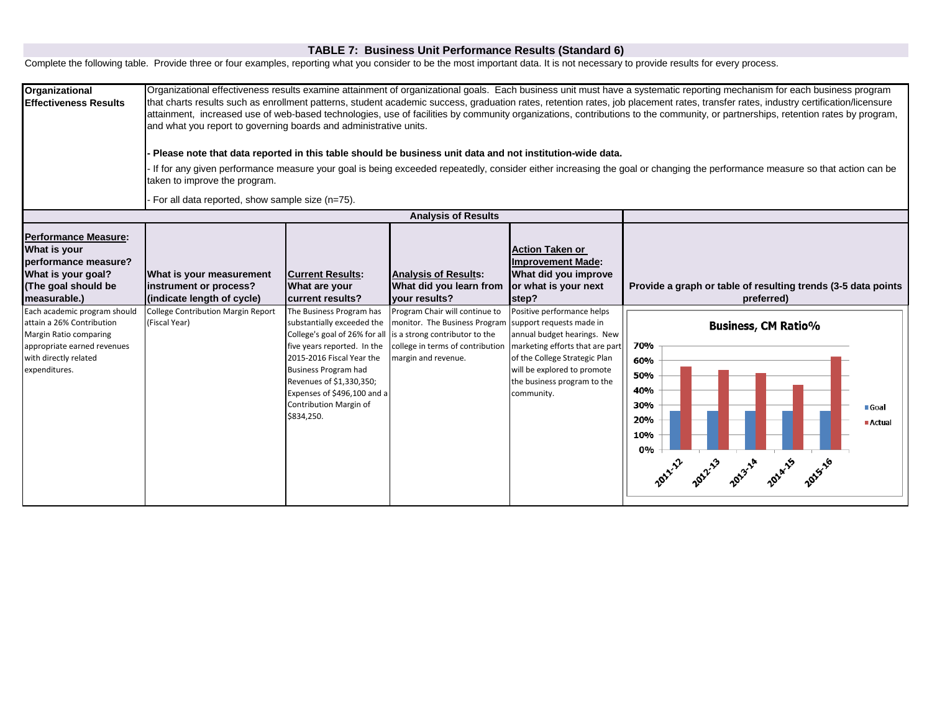### **TABLE 7: Business Unit Performance Results (Standard 6)**

Complete the following table. Provide three or four examples, reporting what you consider to be the most important data. It is not necessary to provide results for every process.

| Organizational<br><b>Effectiveness Results</b>                                                                                                               | Organizational effectiveness results examine attainment of organizational goals. Each business unit must have a systematic reporting mechanism for each business program<br>that charts results such as enrollment patterns, student academic success, graduation rates, retention rates, job placement rates, transfer rates, industry certification/licensure<br>attainment, increased use of web-based technologies, use of facilities by community organizations, contributions to the community, or partnerships, retention rates by program,<br>and what you report to governing boards and administrative units.<br>Please note that data reported in this table should be business unit data and not institution-wide data.<br>If for any given performance measure your goal is being exceeded repeatedly, consider either increasing the goal or changing the performance measure so that action can be<br>taken to improve the program.<br>For all data reported, show sample size (n=75). |                                                                                                                                                                                                                                                      |                                                                                                                                                                                                                     |                                                                                                                                                                                                           |                                                                                                                                                    |
|--------------------------------------------------------------------------------------------------------------------------------------------------------------|-------------------------------------------------------------------------------------------------------------------------------------------------------------------------------------------------------------------------------------------------------------------------------------------------------------------------------------------------------------------------------------------------------------------------------------------------------------------------------------------------------------------------------------------------------------------------------------------------------------------------------------------------------------------------------------------------------------------------------------------------------------------------------------------------------------------------------------------------------------------------------------------------------------------------------------------------------------------------------------------------------|------------------------------------------------------------------------------------------------------------------------------------------------------------------------------------------------------------------------------------------------------|---------------------------------------------------------------------------------------------------------------------------------------------------------------------------------------------------------------------|-----------------------------------------------------------------------------------------------------------------------------------------------------------------------------------------------------------|----------------------------------------------------------------------------------------------------------------------------------------------------|
|                                                                                                                                                              |                                                                                                                                                                                                                                                                                                                                                                                                                                                                                                                                                                                                                                                                                                                                                                                                                                                                                                                                                                                                       |                                                                                                                                                                                                                                                      | <b>Analysis of Results</b>                                                                                                                                                                                          |                                                                                                                                                                                                           |                                                                                                                                                    |
| <b>Performance Measure:</b><br>What is your<br>performance measure?<br>What is your goal?<br>(The goal should be<br>measurable.)                             | What is your measurement<br>instrument or process?<br>(indicate length of cycle)                                                                                                                                                                                                                                                                                                                                                                                                                                                                                                                                                                                                                                                                                                                                                                                                                                                                                                                      | <b>Current Results:</b><br>What are your<br>current results?                                                                                                                                                                                         | <b>Analysis of Results:</b><br>What did you learn from<br>vour results?                                                                                                                                             | <b>Action Taken or</b><br><b>Improvement Made:</b><br>What did you improve<br>or what is your next<br>step?                                                                                               | Provide a graph or table of resulting trends (3-5 data points<br>preferred)                                                                        |
| Each academic program should<br>attain a 26% Contribution<br>Margin Ratio comparing<br>appropriate earned revenues<br>with directly related<br>expenditures. | College Contribution Margin Report<br>(Fiscal Year)                                                                                                                                                                                                                                                                                                                                                                                                                                                                                                                                                                                                                                                                                                                                                                                                                                                                                                                                                   | The Business Program has<br>substantially exceeded the<br>five years reported. In the<br>2015-2016 Fiscal Year the<br><b>Business Program had</b><br>Revenues of \$1,330,350;<br>Expenses of \$496,100 and a<br>Contribution Margin of<br>\$834,250. | Program Chair will continue to<br>monitor. The Business Program support requests made in<br>College's goal of 26% for all is a strong contributor to the<br>college in terms of contribution<br>margin and revenue. | Positive performance helps<br>annual budget hearings. New<br>marketing efforts that are part<br>of the College Strategic Plan<br>will be explored to promote<br>the business program to the<br>community. | <b>Business, CM Ratio%</b><br>70%<br>60%<br>50%<br>40%<br>30%<br>■ Goal<br>20%<br>■ Actual<br>10%<br>0%<br>1011-12 1012-13 1013-14 1014-15 1015-16 |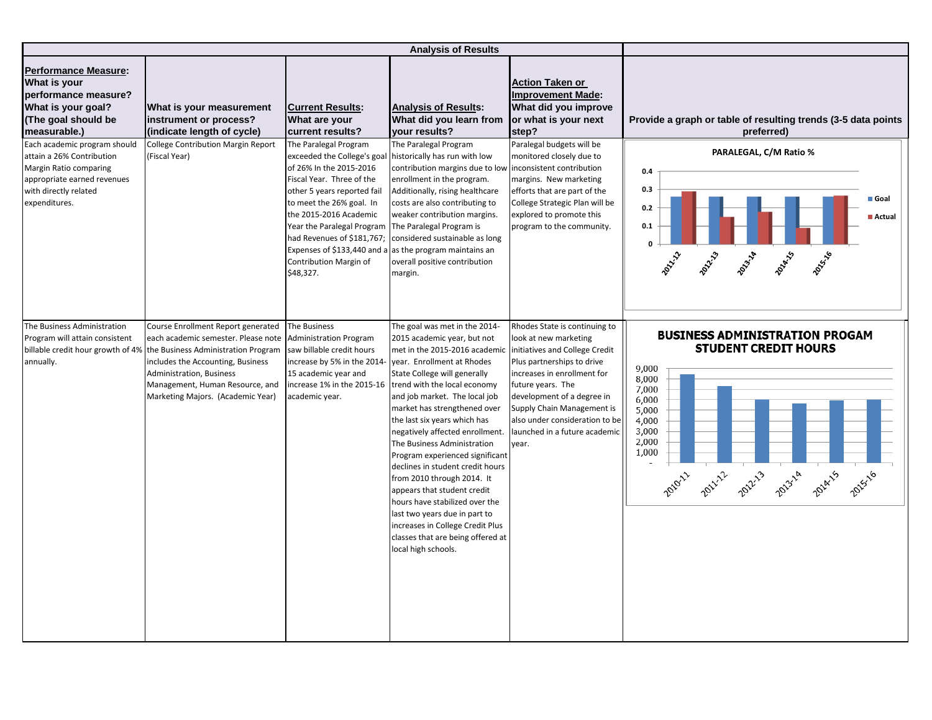|                                                                                                                                                                  |                                                                                                                                                                                                                                                          |                                                                                                                                                                                                                                                                        | <b>Analysis of Results</b>                                                                                                                                                                                                                                                                                                                                                                                                                                                                                                                                                                                                                                                                                                      |                                                                                                                                                                                                                                                                                  |                                                                                                                                                                                                     |
|------------------------------------------------------------------------------------------------------------------------------------------------------------------|----------------------------------------------------------------------------------------------------------------------------------------------------------------------------------------------------------------------------------------------------------|------------------------------------------------------------------------------------------------------------------------------------------------------------------------------------------------------------------------------------------------------------------------|---------------------------------------------------------------------------------------------------------------------------------------------------------------------------------------------------------------------------------------------------------------------------------------------------------------------------------------------------------------------------------------------------------------------------------------------------------------------------------------------------------------------------------------------------------------------------------------------------------------------------------------------------------------------------------------------------------------------------------|----------------------------------------------------------------------------------------------------------------------------------------------------------------------------------------------------------------------------------------------------------------------------------|-----------------------------------------------------------------------------------------------------------------------------------------------------------------------------------------------------|
| <b>Performance Measure:</b><br>What is your<br>performance measure?<br>What is your goal?<br>(The goal should be<br>measurable.)<br>Each academic program should | What is your measurement<br>instrument or process?<br>(indicate length of cycle)<br><b>College Contribution Margin Report</b>                                                                                                                            | <b>Current Results:</b><br>What are your<br>current results?<br>The Paralegal Program                                                                                                                                                                                  | <b>Analysis of Results:</b><br>What did you learn from<br>your results?<br>The Paralegal Program                                                                                                                                                                                                                                                                                                                                                                                                                                                                                                                                                                                                                                | <b>Action Taken or</b><br><b>Improvement Made:</b><br>What did you improve<br>or what is your next<br>step?<br>Paralegal budgets will be                                                                                                                                         | Provide a graph or table of resulting trends (3-5 data points<br>preferred)                                                                                                                         |
| attain a 26% Contribution<br>Margin Ratio comparing<br>appropriate earned revenues<br>with directly related<br>expenditures.                                     | (Fiscal Year)                                                                                                                                                                                                                                            | exceeded the College's goal<br>of 26% In the 2015-2016<br>Fiscal Year. Three of the<br>other 5 years reported fail<br>to meet the 26% goal. In<br>the 2015-2016 Academic<br>Year the Paralegal Program The Paralegal Program is<br>Contribution Margin of<br>\$48,327. | historically has run with low<br>contribution margins due to low inconsistent contribution<br>enrollment in the program.<br>Additionally, rising healthcare<br>costs are also contributing to<br>weaker contribution margins.<br>had Revenues of \$181,767; considered sustainable as long<br>Expenses of \$133,440 and a as the program maintains an<br>overall positive contribution<br>margin.                                                                                                                                                                                                                                                                                                                               | monitored closely due to<br>margins. New marketing<br>efforts that are part of the<br>College Strategic Plan will be<br>explored to promote this<br>program to the community.                                                                                                    | PARALEGAL, C/M Ratio %<br>0.4<br>0.3<br>Goal<br>0.2<br>Actual<br>0.1<br><b>POLAILLY</b><br>2011-12<br>2021-3<br><b>POLITIC</b><br>2011/18                                                           |
| The Business Administration<br>Program will attain consistent<br>billable credit hour growth of 4%<br>annually.                                                  | Course Enrollment Report generated<br>each academic semester. Please note<br>the Business Administration Program<br>ncludes the Accounting, Business<br>Administration, Business<br>Management, Human Resource, and<br>Marketing Majors. (Academic Year) | The Business<br><b>Administration Program</b><br>saw billable credit hours<br>increase by 5% in the 2014-<br>15 academic year and<br>academic year.                                                                                                                    | The goal was met in the 2014-<br>2015 academic year, but not<br>met in the 2015-2016 academic initiatives and College Credit<br>year. Enrollment at Rhodes<br>State College will generally<br>increase 1% in the 2015-16 trend with the local economy<br>and job market. The local job<br>market has strengthened over<br>the last six years which has<br>negatively affected enrollment.<br>The Business Administration<br>Program experienced significant<br>declines in student credit hours<br>from 2010 through 2014. It<br>appears that student credit<br>hours have stabilized over the<br>last two years due in part to<br>increases in College Credit Plus<br>classes that are being offered at<br>local high schools. | Rhodes State is continuing to<br>look at new marketing<br>Plus partnerships to drive<br>increases in enrollment for<br>future years. The<br>development of a degree in<br>Supply Chain Management is<br>also under consideration to be<br>launched in a future academic<br>year. | <b>BUSINESS ADMINISTRATION PROGAM</b><br><b>STUDENT CREDIT HOURS</b><br>9,000<br>8,000<br>7,000<br>6,000<br>5,000<br>4,000<br>3,000<br>2,000<br>1,000<br>2010-11 2012-12 2013-14 2014-15<br>2015-16 |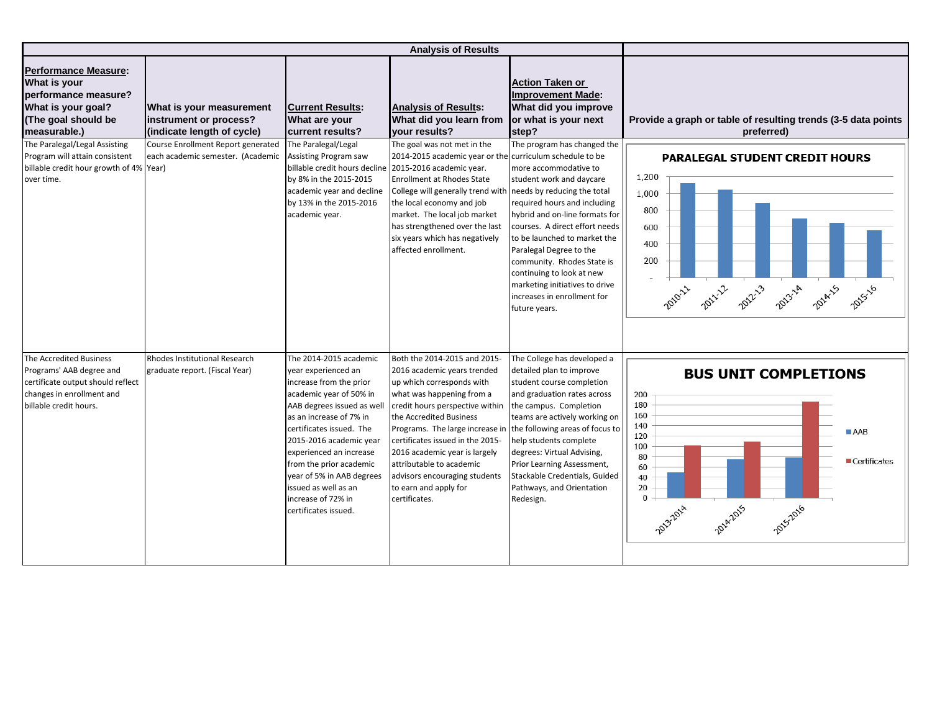|                                                                                                                                                 | <b>Analysis of Results</b>                                                       |                                                                                                                                                                                                                                                                                                                                                                              |                                                                                                                                                                                                                                                                                                                                                                                                                                    |                                                                                                                                                                                                                                                                                                                                                                                              |                                                                                                                                                                         |
|-------------------------------------------------------------------------------------------------------------------------------------------------|----------------------------------------------------------------------------------|------------------------------------------------------------------------------------------------------------------------------------------------------------------------------------------------------------------------------------------------------------------------------------------------------------------------------------------------------------------------------|------------------------------------------------------------------------------------------------------------------------------------------------------------------------------------------------------------------------------------------------------------------------------------------------------------------------------------------------------------------------------------------------------------------------------------|----------------------------------------------------------------------------------------------------------------------------------------------------------------------------------------------------------------------------------------------------------------------------------------------------------------------------------------------------------------------------------------------|-------------------------------------------------------------------------------------------------------------------------------------------------------------------------|
| <b>Performance Measure:</b><br>What is your<br>performance measure?<br>What is your goal?<br>(The goal should be<br>measurable.)                | What is your measurement<br>instrument or process?<br>(indicate length of cycle) | <b>Current Results:</b><br>What are your<br>current results?                                                                                                                                                                                                                                                                                                                 | <b>Analysis of Results:</b><br>What did you learn from<br>your results?                                                                                                                                                                                                                                                                                                                                                            | <b>Action Taken or</b><br><b>Improvement Made:</b><br>What did you improve<br>or what is your next<br>step?                                                                                                                                                                                                                                                                                  | Provide a graph or table of resulting trends (3-5 data points<br>preferred)                                                                                             |
| The Paralegal/Legal Assisting<br>Program will attain consistent<br>billable credit hour growth of 4% Year)<br>over time.                        | Course Enrollment Report generated<br>each academic semester. (Academic          | The Paralegal/Legal<br>Assisting Program saw<br>billable credit hours decline 2015-2016 academic year.<br>by 8% in the 2015-2015<br>academic year and decline<br>by 13% in the 2015-2016<br>academic year.                                                                                                                                                                   | The goal was not met in the<br>2014-2015 academic year or the curriculum schedule to be<br><b>Enrollment at Rhodes State</b><br>College will generally trend with needs by reducing the total<br>the local economy and job<br>market. The local job market<br>has strengthened over the last<br>six years which has negatively<br>affected enrollment.                                                                             | The program has changed the<br>more accommodative to<br>student work and daycare<br>required hours and including<br>hybrid and on-line formats for<br>courses. A direct effort needs<br>to be launched to market the<br>Paralegal Degree to the<br>community. Rhodes State is<br>continuing to look at new<br>marketing initiatives to drive<br>increases in enrollment for<br>future years. | <b>PARALEGAL STUDENT CREDIT HOURS</b><br>1,200<br>1,000<br>800<br>600<br>400<br>200<br>2010-11 2012-12 2013-14 2014-15 2015-16                                          |
| The Accredited Business<br>Programs' AAB degree and<br>certificate output should reflect<br>changes in enrollment and<br>billable credit hours. | Rhodes Institutional Research<br>graduate report. (Fiscal Year)                  | The 2014-2015 academic<br>year experienced an<br>increase from the prior<br>academic year of 50% in<br>AAB degrees issued as well<br>as an increase of 7% in<br>certificates issued. The<br>2015-2016 academic year<br>experienced an increase<br>from the prior academic<br>year of 5% in AAB degrees<br>issued as well as an<br>increase of 72% in<br>certificates issued. | Both the 2014-2015 and 2015-<br>2016 academic years trended<br>up which corresponds with<br>what was happening from a<br>credit hours perspective within<br>the Accredited Business<br>Programs. The large increase in the following areas of focus to<br>certificates issued in the 2015-<br>2016 academic year is largely<br>attributable to academic<br>advisors encouraging students<br>to earn and apply for<br>certificates. | The College has developed a<br>detailed plan to improve<br>student course completion<br>and graduation rates across<br>the campus. Completion<br>teams are actively working on<br>help students complete<br>degrees: Virtual Advising,<br>Prior Learning Assessment,<br>Stackable Credentials, Guided<br>Pathways, and Orientation<br>Redesign.                                              | <b>BUS UNIT COMPLETIONS</b><br>200<br>180<br>160<br>140<br>AAB<br>120<br>100<br>80<br>Certificates<br>60<br>40<br>20<br>$\Omega$<br>2014-2015<br>2015-2016<br>2013-2014 |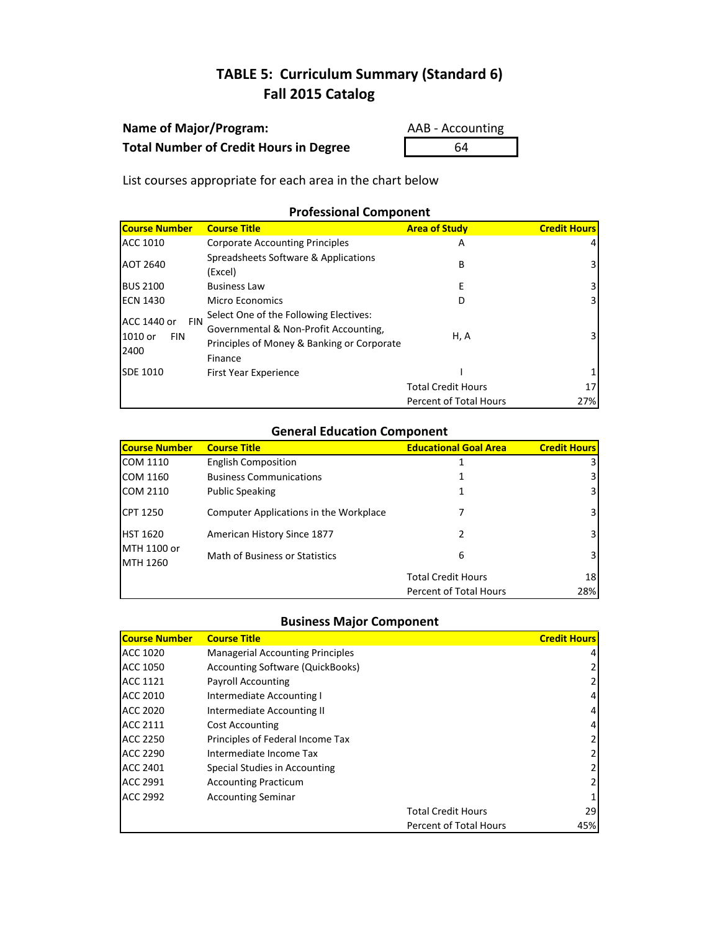## **Name of Major/Program:** AAB - Accounting **Total Number of Credit Hours in Degree** 64

List courses appropriate for each area in the chart below

## **Professional Component**

| <b>Course Number</b>                                       | <b>Course Title</b>                                                                                                                      | <b>Area of Study</b>          | <b>Credit Hours</b> |
|------------------------------------------------------------|------------------------------------------------------------------------------------------------------------------------------------------|-------------------------------|---------------------|
| <b>ACC 1010</b>                                            | <b>Corporate Accounting Principles</b>                                                                                                   | A                             |                     |
| AOT 2640                                                   | Spreadsheets Software & Applications<br>(Excel)                                                                                          | В                             | 3.                  |
| <b>BUS 2100</b>                                            | <b>Business Law</b>                                                                                                                      | Е                             | 3                   |
| <b>ECN 1430</b>                                            | Micro Economics                                                                                                                          | D                             | 3                   |
| ACC 1440 or<br><b>FIN</b><br>1010 or<br><b>FIN</b><br>2400 | Select One of the Following Electives:<br>Governmental & Non-Profit Accounting,<br>Principles of Money & Banking or Corporate<br>Finance | H, A                          | 3.                  |
| <b>SDE 1010</b>                                            | First Year Experience                                                                                                                    |                               |                     |
|                                                            |                                                                                                                                          | <b>Total Credit Hours</b>     | 17                  |
|                                                            |                                                                                                                                          | <b>Percent of Total Hours</b> | 27%                 |

### **General Education Component**

| <b>Course Number</b>    | <b>Course Title</b>                    | <b>Educational Goal Area</b> | <b>Credit Hours</b> |
|-------------------------|----------------------------------------|------------------------------|---------------------|
| COM 1110                | <b>English Composition</b>             |                              |                     |
| COM 1160                | <b>Business Communications</b>         |                              | 3                   |
| COM 2110                | <b>Public Speaking</b>                 |                              | 3                   |
| <b>CPT 1250</b>         | Computer Applications in the Workplace |                              | 3                   |
| <b>HST 1620</b>         | American History Since 1877            | 2                            | 31                  |
| MTH 1100 or<br>MTH 1260 | Math of Business or Statistics         | 6                            | 31                  |
|                         |                                        | <b>Total Credit Hours</b>    | 18                  |
|                         |                                        | Percent of Total Hours       | 28%                 |

| <b>Course Number</b> | <b>Course Title</b>                     |                           | <b>Credit Hours</b> |
|----------------------|-----------------------------------------|---------------------------|---------------------|
| <b>ACC 1020</b>      | <b>Managerial Accounting Principles</b> |                           |                     |
| <b>ACC 1050</b>      | Accounting Software (QuickBooks)        |                           |                     |
| <b>ACC 1121</b>      | <b>Payroll Accounting</b>               |                           |                     |
| <b>ACC 2010</b>      | Intermediate Accounting I               |                           | 4                   |
| <b>ACC 2020</b>      | Intermediate Accounting II              |                           | 4                   |
| <b>ACC 2111</b>      | <b>Cost Accounting</b>                  |                           |                     |
| <b>ACC 2250</b>      | Principles of Federal Income Tax        |                           |                     |
| <b>ACC 2290</b>      | Intermediate Income Tax                 |                           |                     |
| <b>ACC 2401</b>      | Special Studies in Accounting           |                           |                     |
| <b>ACC 2991</b>      | <b>Accounting Practicum</b>             |                           |                     |
| <b>ACC 2992</b>      | <b>Accounting Seminar</b>               |                           |                     |
|                      |                                         | <b>Total Credit Hours</b> | 29                  |
|                      |                                         | Percent of Total Hours    | 45%                 |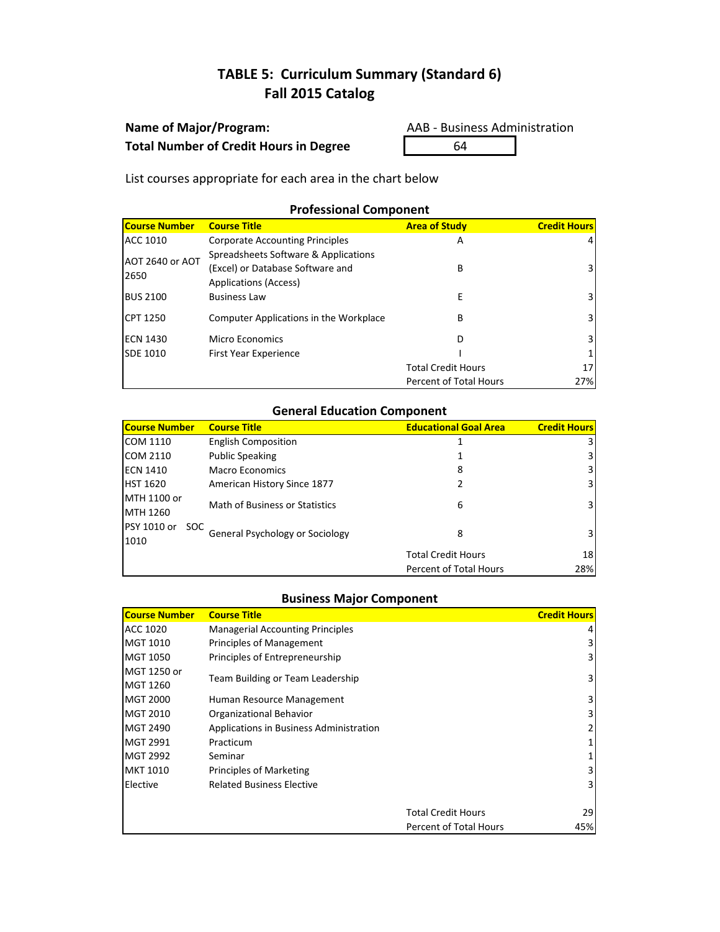## **Name of Major/Program:** AAB - Business Administration Total Number of Credit Hours in Degree 64

List courses appropriate for each area in the chart below

## **Professional Component**

| <b>Course Number</b>    | <b>Course Title</b>                                                                                      | <b>Area of Study</b>          | <b>Credit Hours</b> |
|-------------------------|----------------------------------------------------------------------------------------------------------|-------------------------------|---------------------|
| ACC 1010                | <b>Corporate Accounting Principles</b>                                                                   | A                             | 4                   |
| AOT 2640 or AOT<br>2650 | Spreadsheets Software & Applications<br>(Excel) or Database Software and<br><b>Applications (Access)</b> | В                             | 3                   |
| <b>BUS 2100</b>         | <b>Business Law</b>                                                                                      | E                             | 3.                  |
| <b>CPT 1250</b>         | Computer Applications in the Workplace                                                                   | В                             | 3                   |
| <b>ECN 1430</b>         | Micro Economics                                                                                          | D                             | 3.                  |
| SDE 1010                | <b>First Year Experience</b>                                                                             |                               |                     |
|                         |                                                                                                          | <b>Total Credit Hours</b>     | 17                  |
|                         |                                                                                                          | <b>Percent of Total Hours</b> | 27%                 |

## **General Education Component**

| <b>Course Number</b> | <b>Course Title</b>             | <b>Educational Goal Area</b> | <b>Credit Hours</b> |
|----------------------|---------------------------------|------------------------------|---------------------|
| COM 1110             | <b>English Composition</b>      |                              |                     |
| <b>COM 2110</b>      | <b>Public Speaking</b>          |                              |                     |
| <b>ECN 1410</b>      | Macro Economics                 | 8                            | 3                   |
| HST 1620             | American History Since 1877     |                              | 3                   |
| MTH 1100 or          | Math of Business or Statistics  | 6                            | 31                  |
| MTH 1260             |                                 |                              |                     |
| PSY 1010 or<br>SOC.  | General Psychology or Sociology | 8                            |                     |
| 1010                 |                                 |                              |                     |
|                      |                                 | <b>Total Credit Hours</b>    | 18                  |
|                      |                                 | Percent of Total Hours       | 28%                 |

| <b>Course Number</b> | <b>Course Title</b>                     |                               | <b>Credit Hours</b> |
|----------------------|-----------------------------------------|-------------------------------|---------------------|
| ACC 1020             | <b>Managerial Accounting Principles</b> |                               |                     |
| MGT 1010             | Principles of Management                |                               |                     |
| MGT 1050             | Principles of Entrepreneurship          |                               | 3                   |
| MGT 1250 or          | Team Building or Team Leadership        |                               | 3                   |
| MGT 1260             |                                         |                               |                     |
| MGT 2000             | Human Resource Management               |                               | 3.                  |
| MGT 2010             | Organizational Behavior                 |                               |                     |
| MGT 2490             | Applications in Business Administration |                               |                     |
| MGT 2991             | Practicum                               |                               |                     |
| MGT 2992             | Seminar                                 |                               |                     |
| MKT 1010             | <b>Principles of Marketing</b>          |                               |                     |
| Elective             | <b>Related Business Elective</b>        |                               |                     |
|                      |                                         |                               |                     |
|                      |                                         | <b>Total Credit Hours</b>     | 29                  |
|                      |                                         | <b>Percent of Total Hours</b> | 45%                 |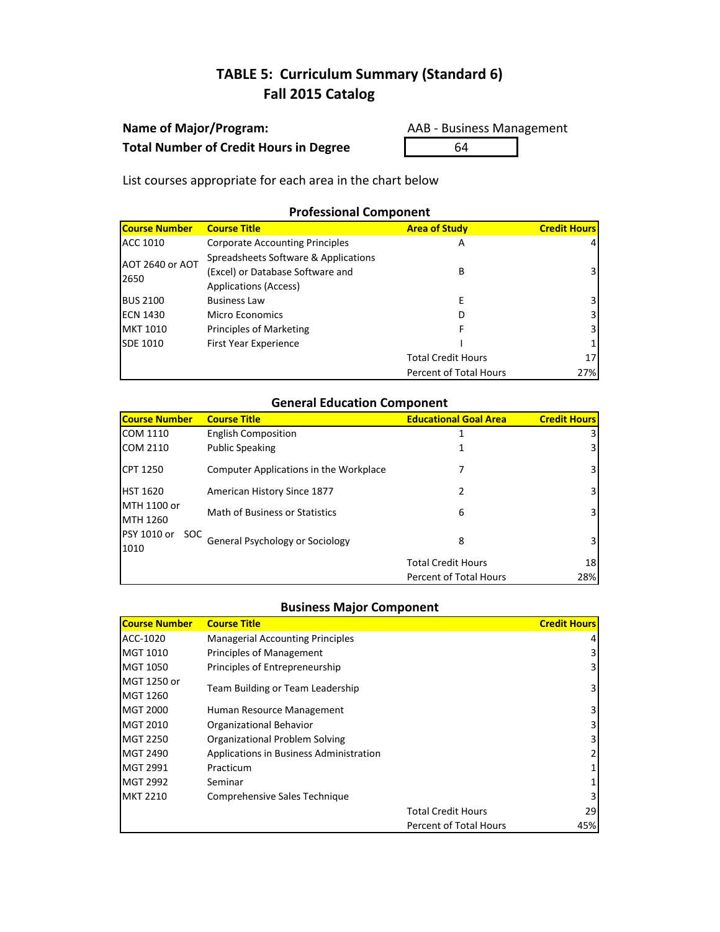## **Name of Major/Program:** AAB - Business Management **Total Number of Credit Hours in Degree** 64

List courses appropriate for each area in the chart below

## **Professional Component**

| <b>Course Number</b> | <b>Course Title</b>                    | <b>Area of Study</b>      | <b>Credit Hours</b> |
|----------------------|----------------------------------------|---------------------------|---------------------|
| ACC 1010             | <b>Corporate Accounting Principles</b> | А                         | 4                   |
| AOT 2640 or AOT      | Spreadsheets Software & Applications   |                           |                     |
| 2650                 | (Excel) or Database Software and       | В                         | 3                   |
|                      | <b>Applications (Access)</b>           |                           |                     |
| <b>BUS 2100</b>      | <b>Business Law</b>                    |                           | 3                   |
| ECN 1430             | Micro Economics                        |                           | 3                   |
| <b>MKT 1010</b>      | Principles of Marketing                |                           | 3                   |
| <b>SDE 1010</b>      | First Year Experience                  |                           |                     |
|                      |                                        | <b>Total Credit Hours</b> | 17                  |
|                      |                                        | Percent of Total Hours    | 27%                 |

## **General Education Component**

| <b>Course Number</b>       | <b>Course Title</b>                    | <b>Educational Goal Area</b>  | <b>Credit Hours</b> |
|----------------------------|----------------------------------------|-------------------------------|---------------------|
| <b>COM 1110</b>            | <b>English Composition</b>             |                               |                     |
| <b>COM 2110</b>            | <b>Public Speaking</b>                 |                               |                     |
| <b>CPT 1250</b>            | Computer Applications in the Workplace |                               | 3                   |
| HST 1620                   | American History Since 1877            | 2                             | 31                  |
| MTH 1100 or<br>MTH 1260    | Math of Business or Statistics         | 6                             | 3                   |
| PSY 1010 or<br>soc<br>1010 | General Psychology or Sociology        | 8                             | 31                  |
|                            |                                        | <b>Total Credit Hours</b>     | 18                  |
|                            |                                        | <b>Percent of Total Hours</b> | 28%                 |

| <b>Course Number</b> | <b>Course Title</b>                     |                               | <b>Credit Hours</b> |
|----------------------|-----------------------------------------|-------------------------------|---------------------|
| ACC-1020             | <b>Managerial Accounting Principles</b> |                               | 4                   |
| MGT 1010             | Principles of Management                |                               | 3                   |
| MGT 1050             | Principles of Entrepreneurship          |                               | 3                   |
| MGT 1250 or          |                                         |                               |                     |
| MGT 1260             | Team Building or Team Leadership        |                               | 3                   |
| <b>MGT 2000</b>      | Human Resource Management               |                               | 3                   |
| MGT 2010             | Organizational Behavior                 |                               | 3                   |
| <b>MGT 2250</b>      | Organizational Problem Solving          |                               | 3                   |
| MGT 2490             | Applications in Business Administration |                               |                     |
| MGT 2991             | Practicum                               |                               |                     |
| MGT 2992             | Seminar                                 |                               |                     |
| <b>MKT 2210</b>      | Comprehensive Sales Technique           |                               | 3                   |
|                      |                                         | <b>Total Credit Hours</b>     | 29                  |
|                      |                                         | <b>Percent of Total Hours</b> | 45%                 |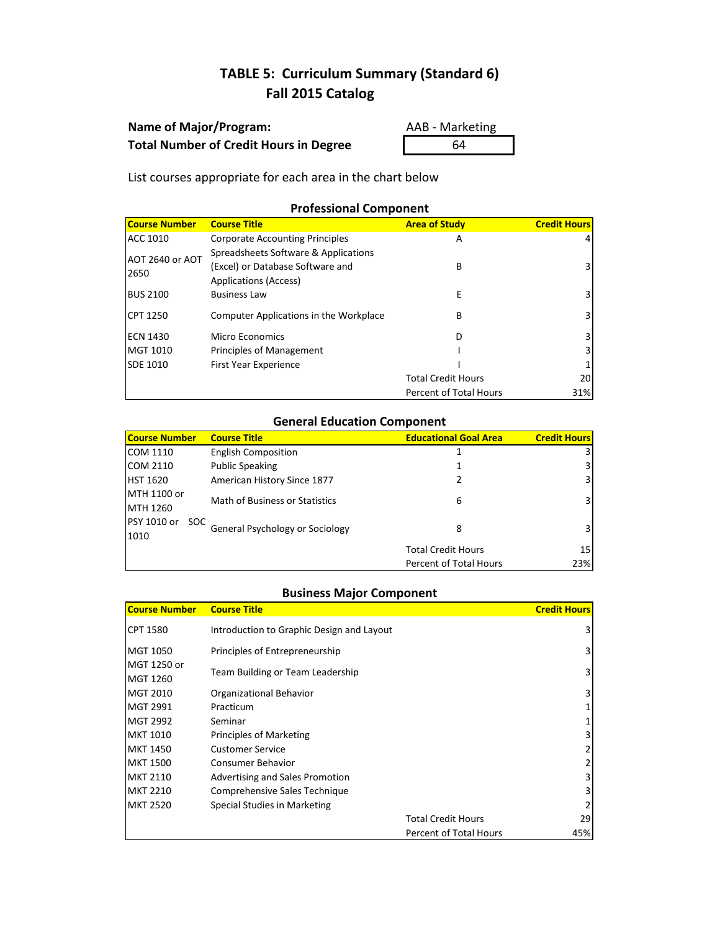| <b>Name of Major/Program:</b>                 | AAB - Mark |
|-----------------------------------------------|------------|
| <b>Total Number of Credit Hours in Degree</b> | 64         |

**AAB - Marketing** 

List courses appropriate for each area in the chart below

## **Professional Component**

| <b>Course Number</b> | <b>Course Title</b>                                                      | <b>Area of Study</b>      | <b>Credit Hours</b> |
|----------------------|--------------------------------------------------------------------------|---------------------------|---------------------|
| ACC 1010             | <b>Corporate Accounting Principles</b>                                   | A                         |                     |
| AOT 2640 or AOT      | Spreadsheets Software & Applications<br>(Excel) or Database Software and | B                         |                     |
| 2650                 | <b>Applications (Access)</b>                                             |                           |                     |
| <b>BUS 2100</b>      | <b>Business Law</b>                                                      | E                         | 3.                  |
| <b>CPT 1250</b>      | Computer Applications in the Workplace                                   | B                         |                     |
| <b>ECN 1430</b>      | Micro Economics                                                          | D                         |                     |
| MGT 1010             | Principles of Management                                                 |                           |                     |
| SDE 1010             | First Year Experience                                                    |                           |                     |
|                      |                                                                          | <b>Total Credit Hours</b> | 20                  |
|                      |                                                                          | Percent of Total Hours    | 31%                 |

## **General Education Component**

| <b>Course Number</b> | <b>Course Title</b>                   | <b>Educational Goal Area</b> | <b>Credit Hours</b>     |
|----------------------|---------------------------------------|------------------------------|-------------------------|
| <b>COM 1110</b>      | <b>English Composition</b>            |                              | 3                       |
| COM 2110             | <b>Public Speaking</b>                |                              | $\overline{3}$          |
| <b>HST 1620</b>      | American History Since 1877           | 2                            | $\overline{\mathbf{3}}$ |
| MTH 1100 or          | <b>Math of Business or Statistics</b> |                              | $\overline{\mathbf{3}}$ |
| MTH 1260             |                                       | 6                            |                         |
| PSY 1010 or<br>SOC.  | General Psychology or Sociology       |                              |                         |
| 1010                 |                                       | 8                            | $\overline{\mathbf{3}}$ |
|                      |                                       | <b>Total Credit Hours</b>    | 15                      |
|                      |                                       | Percent of Total Hours       | 23%                     |

| Course Number           | <b>Course Title</b>                       |                           | <b>Credit Hours</b> |
|-------------------------|-------------------------------------------|---------------------------|---------------------|
| CPT 1580                | Introduction to Graphic Design and Layout |                           |                     |
| <b>MGT 1050</b>         | Principles of Entrepreneurship            |                           | 3                   |
| MGT 1250 or<br>MGT 1260 | Team Building or Team Leadership          |                           | 3                   |
| MGT 2010                | Organizational Behavior                   |                           | 3                   |
| <b>MGT 2991</b>         | Practicum                                 |                           |                     |
| <b>MGT 2992</b>         | Seminar                                   |                           |                     |
| <b>MKT 1010</b>         | Principles of Marketing                   |                           |                     |
| <b>MKT 1450</b>         | <b>Customer Service</b>                   |                           |                     |
| <b>MKT 1500</b>         | <b>Consumer Behavior</b>                  |                           |                     |
| <b>MKT 2110</b>         | Advertising and Sales Promotion           |                           | 3                   |
| <b>MKT 2210</b>         | Comprehensive Sales Technique             |                           | 3                   |
| <b>MKT 2520</b>         | Special Studies in Marketing              |                           |                     |
|                         |                                           | <b>Total Credit Hours</b> | 29                  |
|                         |                                           | Percent of Total Hours    | 45%                 |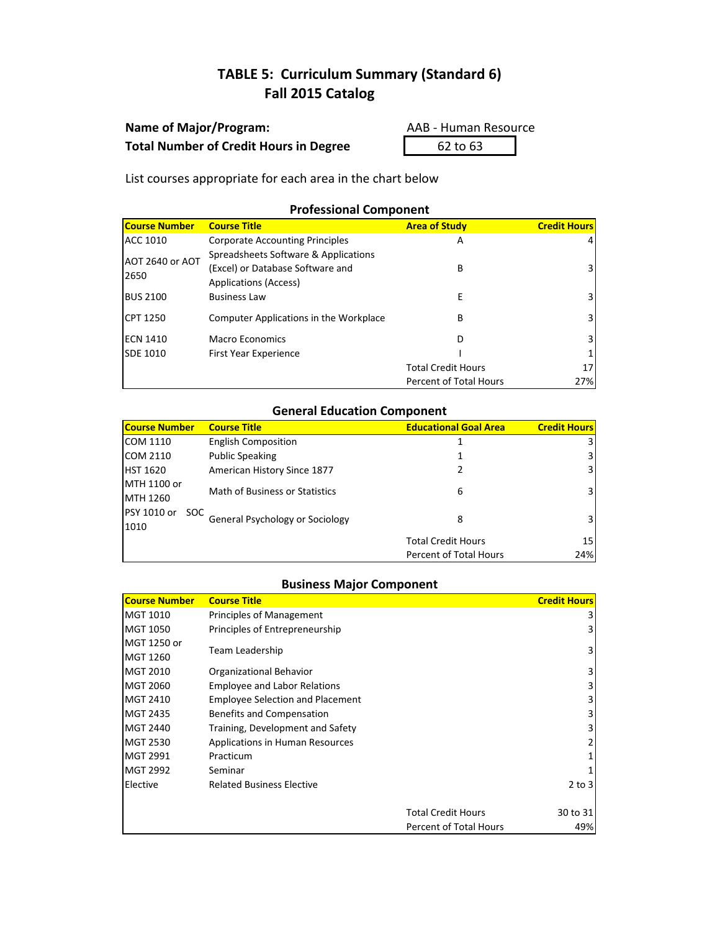| <b>Name of Major/Program:</b>                 |
|-----------------------------------------------|
| <b>Total Number of Credit Hours in Degree</b> |

**Name of Major/Program:** AAB - Human Resource **G2 to 63** 

List courses appropriate for each area in the chart below

## **Professional Component**

| <b>Course Number</b>    | <b>Course Title</b>                                                                                      | <b>Area of Study</b>          | <b>Credit Hours</b> |
|-------------------------|----------------------------------------------------------------------------------------------------------|-------------------------------|---------------------|
| ACC 1010                | <b>Corporate Accounting Principles</b>                                                                   | A                             | 4                   |
| AOT 2640 or AOT<br>2650 | Spreadsheets Software & Applications<br>(Excel) or Database Software and<br><b>Applications (Access)</b> | В                             | 3                   |
| <b>BUS 2100</b>         | <b>Business Law</b>                                                                                      | E                             | 3.                  |
| <b>CPT 1250</b>         | Computer Applications in the Workplace                                                                   | В                             | 3                   |
| <b>ECN 1410</b>         | Macro Economics                                                                                          | D                             | 3.                  |
| SDE 1010                | First Year Experience                                                                                    |                               |                     |
|                         |                                                                                                          | <b>Total Credit Hours</b>     | 17                  |
|                         |                                                                                                          | <b>Percent of Total Hours</b> | 27%                 |

## **General Education Component**

| Course Number       | <b>Course Title</b>             | <b>Educational Goal Area</b>  | <b>Credit Hours</b> |
|---------------------|---------------------------------|-------------------------------|---------------------|
| COM 1110            | <b>English Composition</b>      |                               | 3                   |
| <b>COM 2110</b>     | <b>Public Speaking</b>          |                               | 3                   |
| <b>HST 1620</b>     | American History Since 1877     |                               | 3                   |
| MTH 1100 or         | Math of Business or Statistics  | 6                             | $\overline{3}$      |
| MTH 1260            |                                 |                               |                     |
| PSY 1010 or<br>SOC. | General Psychology or Sociology | 8                             | 3                   |
| 1010                |                                 |                               |                     |
|                     |                                 | <b>Total Credit Hours</b>     | 15                  |
|                     |                                 | <b>Percent of Total Hours</b> | 24%                 |

| <b>Course Number</b> | <b>Course Title</b>                     |                               | <b>Credit Hours</b> |
|----------------------|-----------------------------------------|-------------------------------|---------------------|
| MGT 1010             | Principles of Management                |                               |                     |
| MGT 1050             | Principles of Entrepreneurship          |                               |                     |
| MGT 1250 or          |                                         |                               | 3                   |
| MGT 1260             | Team Leadership                         |                               |                     |
| MGT 2010             | Organizational Behavior                 |                               | 3                   |
| <b>MGT 2060</b>      | <b>Employee and Labor Relations</b>     |                               |                     |
| MGT 2410             | <b>Employee Selection and Placement</b> |                               |                     |
| <b>MGT 2435</b>      | Benefits and Compensation               |                               |                     |
| <b>MGT 2440</b>      | Training, Development and Safety        |                               |                     |
| MGT 2530             | <b>Applications in Human Resources</b>  |                               |                     |
| MGT 2991             | Practicum                               |                               |                     |
| <b>MGT 2992</b>      | Seminar                                 |                               |                     |
| Elective             | <b>Related Business Elective</b>        |                               | $2$ to $3$          |
|                      |                                         |                               |                     |
|                      |                                         | <b>Total Credit Hours</b>     | 30 to 31            |
|                      |                                         | <b>Percent of Total Hours</b> | 49%                 |